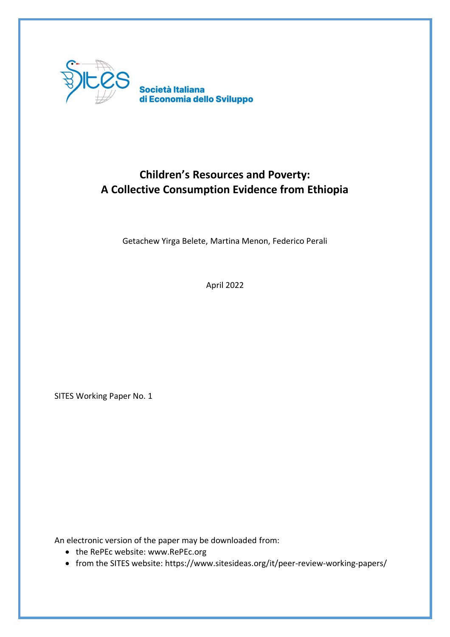

# **Children's Resources and Poverty: A Collective Consumption Evidence from Ethiopia**

Getachew Yirga Belete, Martina Menon, Federico Perali

April 2022

SITES Working Paper No. 1

An electronic version of the paper may be downloaded from:

- the RePEc website: www.RePEc.org
- from the SITES website: https://www.sitesideas.org/it/peer-review-working-papers/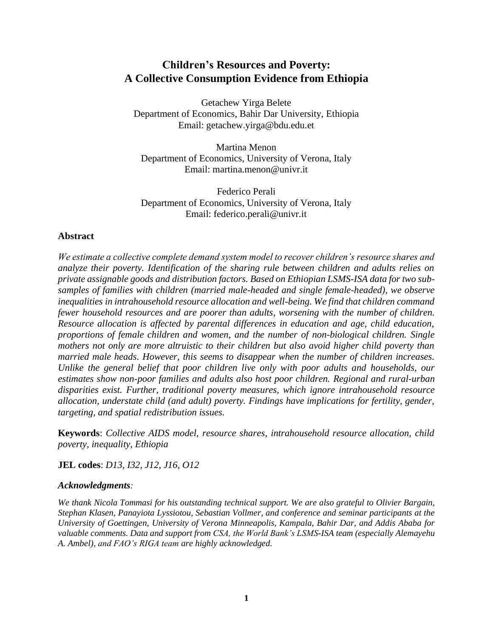# **Children's Resources and Poverty: A Collective Consumption Evidence from Ethiopia**

Getachew Yirga Belete Department of Economics, Bahir Dar University, Ethiopia Email: getachew.yirga@bdu.edu.et

Martina Menon Department of Economics, University of Verona, Italy Email: martina.menon@univr.it

Federico Perali Department of Economics, University of Verona, Italy Email: federico.perali@univr.it

# **Abstract**

*We estimate a collective complete demand system model to recover children's resource shares and analyze their poverty. Identification of the sharing rule between children and adults relies on private assignable goods and distribution factors. Based on Ethiopian LSMS-ISA data for two subsamples of families with children (married male-headed and single female-headed), we observe inequalities in intrahousehold resource allocation and well-being. We find that children command fewer household resources and are poorer than adults, worsening with the number of children. Resource allocation is affected by parental differences in education and age, child education, proportions of female children and women, and the number of non-biological children. Single mothers not only are more altruistic to their children but also avoid higher child poverty than married male heads. However, this seems to disappear when the number of children increases. Unlike the general belief that poor children live only with poor adults and households, our estimates show non-poor families and adults also host poor children. Regional and rural-urban disparities exist. Further, traditional poverty measures, which ignore intrahousehold resource allocation, understate child (and adult) poverty. Findings have implications for fertility, gender, targeting, and spatial redistribution issues.*

**Keywords**: *Collective AIDS model, resource shares, intrahousehold resource allocation, child poverty, inequality, Ethiopia* 

**JEL codes**: *D13, I32, J12, J16, O12*

# *Acknowledgments:*

*We thank Nicola Tommasi for his outstanding technical support. We are also grateful to Olivier Bargain, Stephan Klasen, Panayiota Lyssiotou, Sebastian Vollmer, and conference and seminar participants at the University of Goettingen, University of Verona Minneapolis, Kampala, Bahir Dar, and Addis Ababa for valuable comments. Data and support from CSA, the World Bank's LSMS-ISA team (especially Alemayehu A. Ambel), and FAO's RIGA team are highly acknowledged.*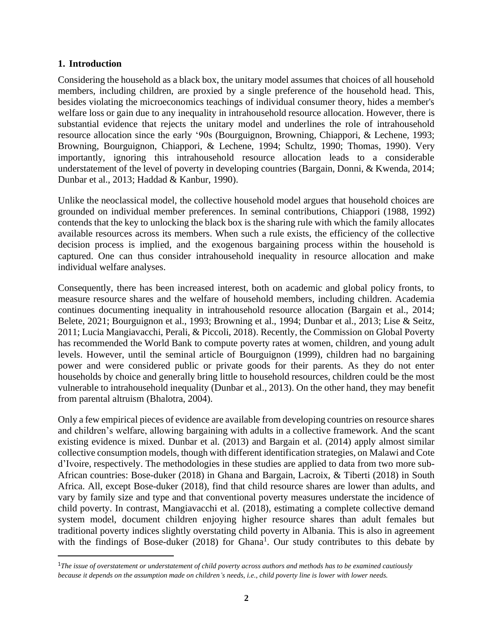# **1. Introduction**

Considering the household as a black box, the unitary model assumes that choices of all household members, including children, are proxied by a single preference of the household head. This, besides violating the microeconomics teachings of individual consumer theory, hides a member's welfare loss or gain due to any inequality in intrahousehold resource allocation. However, there is substantial evidence that rejects the unitary model and underlines the role of intrahousehold resource allocation since the early '90s (Bourguignon, Browning, Chiappori, & Lechene, 1993; Browning, Bourguignon, Chiappori, & Lechene, 1994; Schultz, 1990; Thomas, 1990). Very importantly, ignoring this intrahousehold resource allocation leads to a considerable understatement of the level of poverty in developing countries (Bargain, Donni, & Kwenda, 2014; Dunbar et al., 2013; Haddad & Kanbur, 1990).

Unlike the neoclassical model, the collective household model argues that household choices are grounded on individual member preferences. In seminal contributions, Chiappori (1988, 1992) contends that the key to unlocking the black box is the sharing rule with which the family allocates available resources across its members. When such a rule exists, the efficiency of the collective decision process is implied, and the exogenous bargaining process within the household is captured. One can thus consider intrahousehold inequality in resource allocation and make individual welfare analyses.

Consequently, there has been increased interest, both on academic and global policy fronts, to measure resource shares and the welfare of household members, including children. Academia continues documenting inequality in intrahousehold resource allocation (Bargain et al., 2014; Belete, 2021; Bourguignon et al., 1993; Browning et al., 1994; Dunbar et al., 2013; Lise & Seitz, 2011; Lucia Mangiavacchi, Perali, & Piccoli, 2018). Recently, the Commission on Global Poverty has recommended the World Bank to compute poverty rates at women, children, and young adult levels. However, until the seminal article of Bourguignon (1999), children had no bargaining power and were considered public or private goods for their parents. As they do not enter households by choice and generally bring little to household resources, children could be the most vulnerable to intrahousehold inequality (Dunbar et al., 2013). On the other hand, they may benefit from parental altruism (Bhalotra, 2004).

Only a few empirical pieces of evidence are available from developing countries on resource shares and children's welfare, allowing bargaining with adults in a collective framework. And the scant existing evidence is mixed. Dunbar et al. (2013) and Bargain et al. (2014) apply almost similar collective consumption models, though with different identification strategies, on Malawi and Cote d'Ivoire, respectively. The methodologies in these studies are applied to data from two more sub-African countries: Bose-duker (2018) in Ghana and Bargain, Lacroix, & Tiberti (2018) in South Africa. All, except Bose-duker (2018), find that child resource shares are lower than adults, and vary by family size and type and that conventional poverty measures understate the incidence of child poverty. In contrast, Mangiavacchi et al. (2018), estimating a complete collective demand system model, document children enjoying higher resource shares than adult females but traditional poverty indices slightly overstating child poverty in Albania. This is also in agreement with the findings of Bose-duker  $(2018)$  for Ghana<sup>1</sup>. Our study contributes to this debate by

<sup>1</sup>*The issue of overstatement or understatement of child poverty across authors and methods has to be examined cautiously because it depends on the assumption made on children's needs, i.e., child poverty line is lower with lower needs.*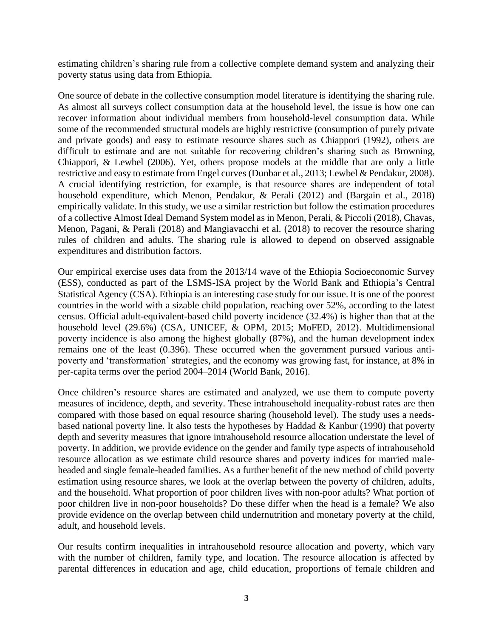estimating children's sharing rule from a collective complete demand system and analyzing their poverty status using data from Ethiopia.

One source of debate in the collective consumption model literature is identifying the sharing rule. As almost all surveys collect consumption data at the household level, the issue is how one can recover information about individual members from household-level consumption data. While some of the recommended structural models are highly restrictive (consumption of purely private and private goods) and easy to estimate resource shares such as Chiappori (1992), others are difficult to estimate and are not suitable for recovering children's sharing such as Browning, Chiappori, & Lewbel (2006). Yet, others propose models at the middle that are only a little restrictive and easy to estimate from Engel curves (Dunbar et al., 2013; Lewbel & Pendakur, 2008). A crucial identifying restriction, for example, is that resource shares are independent of total household expenditure, which Menon, Pendakur, & Perali (2012) and (Bargain et al., 2018) empirically validate. In this study, we use a similar restriction but follow the estimation procedures of a collective Almost Ideal Demand System model as in Menon, Perali, & Piccoli (2018), Chavas, Menon, Pagani, & Perali (2018) and Mangiavacchi et al. (2018) to recover the resource sharing rules of children and adults. The sharing rule is allowed to depend on observed assignable expenditures and distribution factors.

Our empirical exercise uses data from the 2013/14 wave of the Ethiopia Socioeconomic Survey (ESS), conducted as part of the LSMS-ISA project by the World Bank and Ethiopia's Central Statistical Agency (CSA). Ethiopia is an interesting case study for our issue. It is one of the poorest countries in the world with a sizable child population, reaching over 52%, according to the latest census. Official adult-equivalent-based child poverty incidence (32.4%) is higher than that at the household level (29.6%) (CSA, UNICEF, & OPM, 2015; MoFED, 2012). Multidimensional poverty incidence is also among the highest globally (87%), and the human development index remains one of the least (0.396). These occurred when the government pursued various antipoverty and 'transformation' strategies, and the economy was growing fast, for instance, at 8% in per-capita terms over the period 2004–2014 (World Bank, 2016).

Once children's resource shares are estimated and analyzed, we use them to compute poverty measures of incidence, depth, and severity. These intrahousehold inequality-robust rates are then compared with those based on equal resource sharing (household level). The study uses a needsbased national poverty line. It also tests the hypotheses by Haddad & Kanbur (1990) that poverty depth and severity measures that ignore intrahousehold resource allocation understate the level of poverty. In addition, we provide evidence on the gender and family type aspects of intrahousehold resource allocation as we estimate child resource shares and poverty indices for married maleheaded and single female-headed families. As a further benefit of the new method of child poverty estimation using resource shares, we look at the overlap between the poverty of children, adults, and the household. What proportion of poor children lives with non-poor adults? What portion of poor children live in non-poor households? Do these differ when the head is a female? We also provide evidence on the overlap between child undernutrition and monetary poverty at the child, adult, and household levels.

Our results confirm inequalities in intrahousehold resource allocation and poverty, which vary with the number of children, family type, and location. The resource allocation is affected by parental differences in education and age, child education, proportions of female children and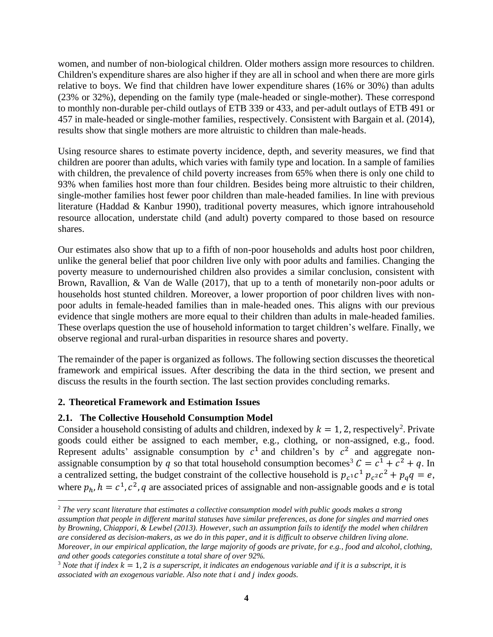women, and number of non-biological children. Older mothers assign more resources to children. Children's expenditure shares are also higher if they are all in school and when there are more girls relative to boys. We find that children have lower expenditure shares (16% or 30%) than adults (23% or 32%), depending on the family type (male-headed or single-mother). These correspond to monthly non-durable per-child outlays of ETB 339 or 433, and per-adult outlays of ETB 491 or 457 in male-headed or single-mother families, respectively. Consistent with Bargain et al. (2014), results show that single mothers are more altruistic to children than male-heads.

Using resource shares to estimate poverty incidence, depth, and severity measures, we find that children are poorer than adults, which varies with family type and location. In a sample of families with children, the prevalence of child poverty increases from 65% when there is only one child to 93% when families host more than four children. Besides being more altruistic to their children, single-mother families host fewer poor children than male-headed families. In line with previous literature (Haddad & Kanbur 1990), traditional poverty measures, which ignore intrahousehold resource allocation, understate child (and adult) poverty compared to those based on resource shares.

Our estimates also show that up to a fifth of non-poor households and adults host poor children, unlike the general belief that poor children live only with poor adults and families. Changing the poverty measure to undernourished children also provides a similar conclusion, consistent with Brown, Ravallion, & Van de Walle (2017), that up to a tenth of monetarily non-poor adults or households host stunted children. Moreover, a lower proportion of poor children lives with nonpoor adults in female-headed families than in male-headed ones. This aligns with our previous evidence that single mothers are more equal to their children than adults in male-headed families. These overlaps question the use of household information to target children's welfare. Finally, we observe regional and rural-urban disparities in resource shares and poverty.

The remainder of the paper is organized as follows. The following section discusses the theoretical framework and empirical issues. After describing the data in the third section, we present and discuss the results in the fourth section. The last section provides concluding remarks.

# **2. Theoretical Framework and Estimation Issues**

# **2.1. The Collective Household Consumption Model**

Consider a household consisting of adults and children, indexed by  $k = 1, 2$ , respectively<sup>2</sup>. Private goods could either be assigned to each member, e.g., clothing, or non-assigned, e.g., food. Represent adults' assignable consumption by  $c^1$  and children's by  $c^2$  and aggregate nonassignable consumption by q so that total household consumption becomes<sup>3</sup>  $C = c^1 + c^2 + q$ . In a centralized setting, the budget constraint of the collective household is  $p_{c1}c_1^p p_{c2}c_2^p + p_q q = e$ , where  $p_h$ ,  $h = c^1$ ,  $c^2$ , q are associated prices of assignable and non-assignable goods and e is total

<sup>2</sup> *The very scant literature that estimates a collective consumption model with public goods makes a strong assumption that people in different marital statuses have similar preferences, as done for singles and married ones by Browning, Chiappori, & Lewbel (2013). However, such an assumption fails to identify the model when children are considered as decision-makers, as we do in this paper, and it is difficult to observe children living alone. Moreover, in our empirical application, the large majority of goods are private, for e.g., food and alcohol, clothing, and other goods categories constitute a total share of over 92%.* 

 $3$  *Note that if index*  $k = 1, 2$  *is a superscript, it indicates an endogenous variable and if it is a subscript, it is associated with an exogenous variable. Also note that and index goods.*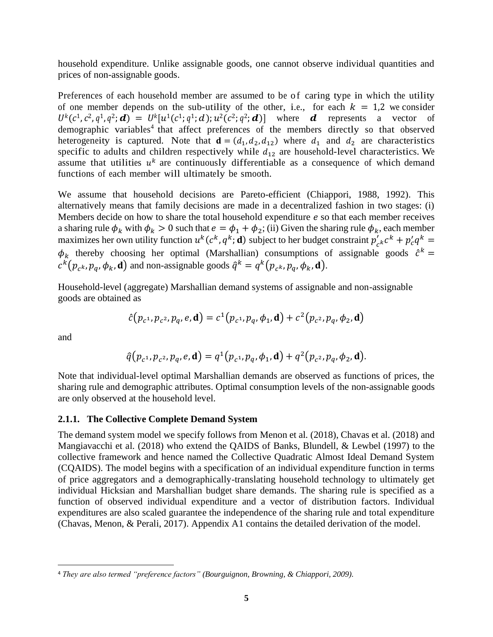household expenditure. Unlike assignable goods, one cannot observe individual quantities and prices of non-assignable goods.

Preferences of each household member are assumed to be of caring type in which the utility of one member depends on the sub-utility of the other, i.e., for each  $k = 1,2$  we consider  $U^k(c^1, c^2, q^1, q^2; \mathbf{d}) = U^k[u^1(c^1; q^1; \mathbf{d}); u^2(c^2; q^2; \mathbf{d})]$  where **d** represents a vector of demographic variables 4 that affect preferences of the members directly so that observed heterogeneity is captured. Note that  $\mathbf{d} = (d_1, d_2, d_{12})$  where  $d_1$  and  $d_2$  are characteristics specific to adults and children respectively while  $d_{12}$  are household-level characteristics. We assume that utilities  $u^k$  are continuously differentiable as a consequence of which demand functions of each member will ultimately be smooth.

We assume that household decisions are Pareto-efficient (Chiappori, 1988, 1992). This alternatively means that family decisions are made in a decentralized fashion in two stages: (i) Members decide on how to share the total household expenditure  $e$  so that each member receives a sharing rule  $\phi_k$  with  $\phi_k > 0$  such that  $e = \phi_1 + \phi_2$ ; (ii) Given the sharing rule  $\phi_k$ , each member maximizes her own utility function  $u^k(c^k, q^k; \mathbf{d})$  subject to her budget constraint  $p'_{c^k}c^k + p'_{c}q^k =$  $\phi_k$  thereby choosing her optimal (Marshallian) consumptions of assignable goods  $\hat{c}^k$  =  $c^k(p_{c^k}, p_q, \phi_k, \mathbf{d})$  and non-assignable goods  $\hat{q}^k = q^k(p_{c^k}, p_q, \phi_k, \mathbf{d}).$ 

Household-level (aggregate) Marshallian demand systems of assignable and non-assignable goods are obtained as

$$
\hat{c}(p_{c^1}, p_{c^2}, p_q, e, \mathbf{d}) = c^1(p_{c^1}, p_q, \phi_1, \mathbf{d}) + c^2(p_{c^2}, p_q, \phi_2, \mathbf{d})
$$

and

$$
\hat{q}(p_{c^1}, p_{c^2}, p_q, e, \mathbf{d}) = q^1(p_{c^1}, p_q, \phi_1, \mathbf{d}) + q^2(p_{c^2}, p_q, \phi_2, \mathbf{d}).
$$

Note that individual-level optimal Marshallian demands are observed as functions of prices, the sharing rule and demographic attributes. Optimal consumption levels of the non-assignable goods are only observed at the household level.

#### **2.1.1. The Collective Complete Demand System**

The demand system model we specify follows from Menon et al. (2018), Chavas et al. (2018) and Mangiavacchi et al. (2018) who extend the QAIDS of Banks, Blundell, & Lewbel (1997) to the collective framework and hence named the Collective Quadratic Almost Ideal Demand System (CQAIDS). The model begins with a specification of an individual expenditure function in terms of price aggregators and a demographically-translating household technology to ultimately get individual Hicksian and Marshallian budget share demands. The sharing rule is specified as a function of observed individual expenditure and a vector of distribution factors. Individual expenditures are also scaled guarantee the independence of the sharing rule and total expenditure (Chavas, Menon, & Perali, 2017). Appendix A1 contains the detailed derivation of the model.

<sup>4</sup> *They are also termed "preference factors" (Bourguignon, Browning, & Chiappori, 2009).*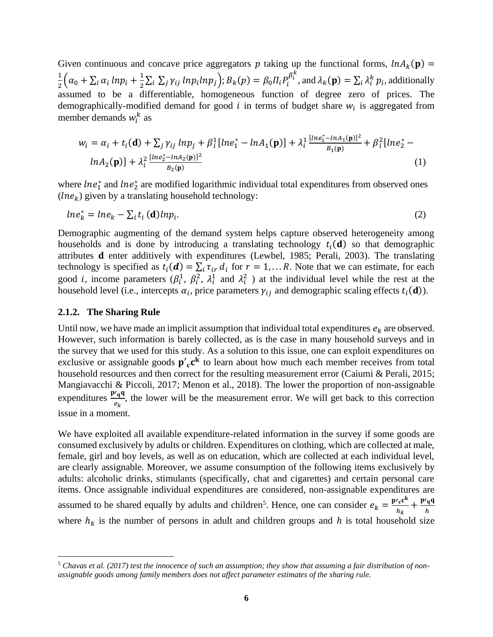Given continuous and concave price aggregators p taking up the functional forms,  $ln A_k(p)$  = 1  $\frac{1}{2}(\alpha_0 + \sum_i \alpha_i \ ln p_i + \frac{1}{2})$  $\frac{1}{2}\sum_i\sum_j \gamma_{ij}$  ln $p_i$ ln $p_j$ );  $B_k(p) = \beta_0 \prod_i P_i^{\beta_i^k}$ , and  $\lambda_k(p) = \sum_i \lambda_i^k p_i$ , additionally assumed to be a differentiable, homogeneous function of degree zero of prices. The demographically-modified demand for good  $i$  in terms of budget share  $w_i$  is aggregated from member demands  $w_i^k$  as

$$
w_i = \alpha_i + t_i(\mathbf{d}) + \sum_j \gamma_{ij} \ln p_j + \beta_i^1 [\ln e_1^* - \ln A_1(\mathbf{p})] + \lambda_i^1 \frac{[\ln e_1^* - \ln A_1(\mathbf{p})]^2}{B_1(\mathbf{p})} + \beta_i^2 [\ln e_2^* - \ln A_2(\mathbf{p})] + \lambda_i^2 \frac{[\ln e_2^* - \ln A_2(\mathbf{p})]^2}{B_2(\mathbf{p})}
$$
(1)

where  $\ln e_1^*$  and  $\ln e_2^*$  are modified logarithmic individual total expenditures from observed ones  $($ l $ne$ <sub>k</sub> $)$  given by a translating household technology:

$$
ln e_k^* = ln e_k - \sum_i t_i \text{ (d)} ln p_i. \tag{2}
$$

Demographic augmenting of the demand system helps capture observed heterogeneity among households and is done by introducing a translating technology  $t_i(\mathbf{d})$  so that demographic attributes  $d$  enter additively with expenditures (Lewbel, 1985; Perali, 2003). The translating technology is specified as  $t_i(\boldsymbol{d}) = \sum_i \tau_{ir} d_i$  for  $r = 1,...R$ . Note that we can estimate, for each good *i*, income parameters  $(\beta_i^1, \beta_i^2, \lambda_i^1$  and  $\lambda_i^2$  ) at the individual level while the rest at the household level (i.e., intercepts  $\alpha_i$ , price parameters  $\gamma_{ij}$  and demographic scaling effects  $t_i(\mathbf{d})$ ).

### **2.1.2. The Sharing Rule**

Until now, we have made an implicit assumption that individual total expenditures  $e_k$  are observed. However, such information is barely collected, as is the case in many household surveys and in the survey that we used for this study. As a solution to this issue, one can exploit expenditures on exclusive or assignable goods  $p'_{c}c^{k}$  to learn about how much each member receives from total household resources and then correct for the resulting measurement error (Caiumi & Perali, 2015; Mangiavacchi & Piccoli, 2017; Menon et al., 2018). The lower the proportion of non-assignable expenditures  $\frac{\mathbf{p'}_q\mathbf{q}}{e_k}$ , the lower will be the measurement error. We will get back to this correction issue in a moment.

We have exploited all available expenditure-related information in the survey if some goods are consumed exclusively by adults or children. Expenditures on clothing, which are collected at male, female, girl and boy levels, as well as on education, which are collected at each individual level, are clearly assignable. Moreover, we assume consumption of the following items exclusively by adults: alcoholic drinks, stimulants (specifically, chat and cigarettes) and certain personal care items. Once assignable individual expenditures are considered, non-assignable expenditures are assumed to be shared equally by adults and children<sup>5</sup>. Hence, one can consider  $e_k = \frac{p/c^k}{h}$  $\frac{n_{\rm c}c^{\rm k}}{n_k} + \frac{p_{\rm q}q}{n}$ ℎ where  $h_k$  is the number of persons in adult and children groups and  $h$  is total household size

<sup>5</sup> *Chavas et al. (2017) test the innocence of such an assumption; they show that assuming a fair distribution of nonassignable goods among family members does not affect parameter estimates of the sharing rule.*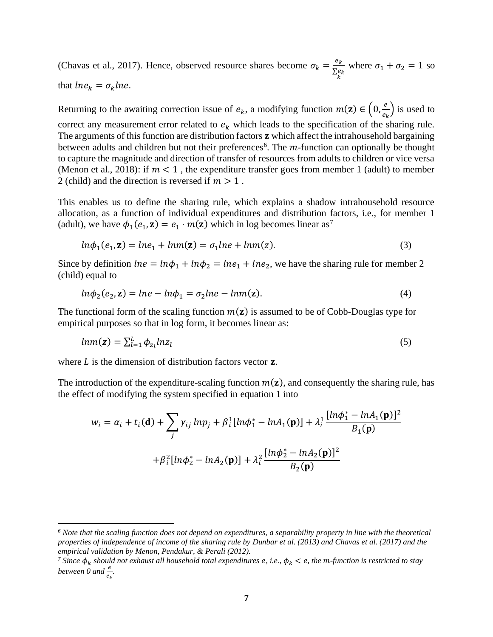(Chavas et al., 2017). Hence, observed resource shares become  $\sigma_k = \frac{e_k}{\Sigma \epsilon}$  $\frac{\sum e_k}{k}$ where  $\sigma_1 + \sigma_2 = 1$  so that  $lne_k = \sigma_k lne$ .

 $\frac{e}{e_k}$ ) is used to

Returning to the awaiting correction issue of  $e_k$ , a modifying function  $m(\mathbf{z}) \in \left(0, \frac{e}{\epsilon_0}\right)$ 

correct any measurement error related to  $e_k$  which leads to the specification of the sharing rule. The arguments of this function are distribution factors  $\bf{z}$  which affect the intrahousehold bargaining between adults and children but not their preferences<sup>6</sup>. The  $m$ -function can optionally be thought to capture the magnitude and direction of transfer of resources from adults to children or vice versa (Menon et al., 2018): if  $m < 1$ , the expenditure transfer goes from member 1 (adult) to member 2 (child) and the direction is reversed if  $m > 1$ .

This enables us to define the sharing rule, which explains a shadow intrahousehold resource allocation, as a function of individual expenditures and distribution factors, i.e., for member 1 (adult), we have  $\phi_1(e_1, \mathbf{z}) = e_1 \cdot m(\mathbf{z})$  which in log becomes linear as<sup>7</sup>

$$
ln\phi_1(e_1, \mathbf{z}) = ln e_1 + ln m(\mathbf{z}) = \sigma_1 ln e + ln m(z). \tag{3}
$$

Since by definition  $lne = ln\phi_1 + ln\phi_2 = lne_1 + lne_2$ , we have the sharing rule for member 2 (child) equal to

$$
ln\phi_2(e_2, \mathbf{z}) = ln e - ln\phi_1 = \sigma_2 ln e - lnm(\mathbf{z}).
$$
\n(4)

The functional form of the scaling function  $m(\mathbf{z})$  is assumed to be of Cobb-Douglas type for empirical purposes so that in log form, it becomes linear as:

$$
lmm(\mathbf{z}) = \sum_{l=1}^{L} \phi_{z_l} lnz_l \tag{5}
$$

where  $L$  is the dimension of distribution factors vector  $z$ .

The introduction of the expenditure-scaling function  $m(z)$ , and consequently the sharing rule, has the effect of modifying the system specified in equation 1 into

$$
w_i = \alpha_i + t_i(\mathbf{d}) + \sum_j \gamma_{ij} \ln p_j + \beta_i^1 [\ln \phi_1^* - \ln A_1(\mathbf{p})] + \lambda_i^1 \frac{[\ln \phi_1^* - \ln A_1(\mathbf{p})]^2}{B_1(\mathbf{p})} + \beta_i^2 [\ln \phi_2^* - \ln A_2(\mathbf{p})] + \lambda_i^2 \frac{[\ln \phi_2^* - \ln A_2(\mathbf{p})]^2}{B_2(\mathbf{p})}
$$

*<sup>6</sup> Note that the scaling function does not depend on expenditures, a separability property in line with the theoretical properties of independence of income of the sharing rule by Dunbar et al. (2013) and Chavas et al. (2017) and the empirical validation by Menon, Pendakur, & Perali (2012).*

<sup>&</sup>lt;sup>7</sup> *Since*  $\phi_k$  *should not exhaust all household total expenditures e, i.e.,*  $\phi_k < e$ *, the m-function is restricted to stay between* 0 and  $\frac{e}{e_k}$ .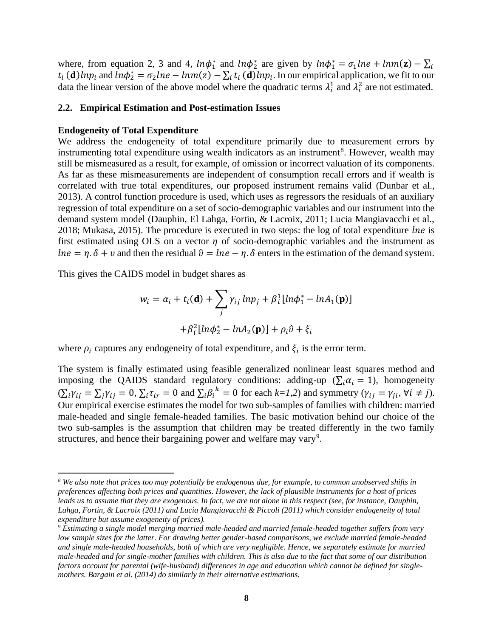where, from equation 2, 3 and 4,  $ln\phi_1^*$  and  $ln\phi_2^*$  are given by  $ln\phi_1^* = \sigma_1 ln e + lnm(\mathbf{z}) - \sum_i$  $t_i$  (**d**)  $ln p_i$  and  $ln \phi_2^* = \sigma_2 ln e - ln m(z) - \sum_i t_i$  (**d**)  $ln p_i$ . In our empirical application, we fit to our data the linear version of the above model where the quadratic terms  $\lambda_i^1$  and  $\lambda_i^2$  are not estimated.

### **2.2. Empirical Estimation and Post-estimation Issues**

### **Endogeneity of Total Expenditure**

We address the endogeneity of total expenditure primarily due to measurement errors by instrumenting total expenditure using wealth indicators as an instrument<sup>8</sup>. However, wealth may still be mismeasured as a result, for example, of omission or incorrect valuation of its components. As far as these mismeasurements are independent of consumption recall errors and if wealth is correlated with true total expenditures, our proposed instrument remains valid (Dunbar et al., 2013). A control function procedure is used, which uses as regressors the residuals of an auxiliary regression of total expenditure on a set of socio-demographic variables and our instrument into the demand system model (Dauphin, El Lahga, Fortin, & Lacroix, 2011; Lucia Mangiavacchi et al.,  $2018$ ; Mukasa,  $2015$ ). The procedure is executed in two steps: the log of total expenditure *lne* is first estimated using OLS on a vector  $\eta$  of socio-demographic variables and the instrument as  $lne = \eta. \delta + v$  and then the residual  $\hat{v} = lne - \eta. \delta$  enters in the estimation of the demand system.

This gives the CAIDS model in budget shares as

$$
w_i = \alpha_i + t_i(\mathbf{d}) + \sum_j \gamma_{ij} l n p_j + \beta_i^1 [ln \phi_1^* - ln A_1(\mathbf{p})]
$$

$$
+ \beta_i^2 [ln \phi_2^* - ln A_2(\mathbf{p})] + \rho_i \hat{v} + \xi_i
$$

where  $\rho_i$  captures any endogeneity of total expenditure, and  $\xi_i$  is the error term.

The system is finally estimated using feasible generalized nonlinear least squares method and imposing the QAIDS standard regulatory conditions: adding-up ( $\sum_i \alpha_i = 1$ ), homogeneity  $(\sum_i \gamma_{ij} = \sum_j \gamma_{ij} = 0, \sum_i \tau_{ir} = 0 \text{ and } \sum_i \beta_i^k = 0 \text{ for each } k = 1, 2) \text{ and symmetry } (\gamma_{ij} = \gamma_{ji}, \forall i \neq j).$ Our empirical exercise estimates the model for two sub-samples of families with children: married male-headed and single female-headed families. The basic motivation behind our choice of the two sub-samples is the assumption that children may be treated differently in the two family structures, and hence their bargaining power and welfare may vary<sup>9</sup>.

*<sup>8</sup> We also note that prices too may potentially be endogenous due, for example, to common unobserved shifts in preferences affecting both prices and quantities. However, the lack of plausible instruments for a host of prices leads us to assume that they are exogenous. In fact, we are not alone in this respect (see, for instance, Dauphin, Lahga, Fortin, & Lacroix (2011) and Lucia Mangiavacchi & Piccoli (2011) which consider endogeneity of total expenditure but assume exogeneity of prices).*

*<sup>9</sup> Estimating a single model merging married male-headed and married female-headed together suffers from very low sample sizes for the latter. For drawing better gender-based comparisons, we exclude married female-headed and single male-headed households, both of which are very negligible. Hence, we separately estimate for married male-headed and for single-mother families with children. This is also due to the fact that some of our distribution factors account for parental (wife-husband) differences in age and education which cannot be defined for singlemothers. Bargain et al. (2014) do similarly in their alternative estimations.*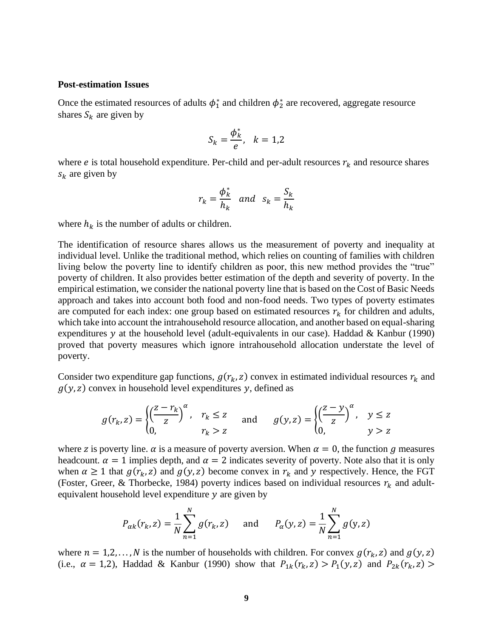#### **Post-estimation Issues**

Once the estimated resources of adults  $\phi_1^*$  and children  $\phi_2^*$  are recovered, aggregate resource shares  $S_k$  are given by

$$
S_k = \frac{\phi_k^*}{e}, \quad k = 1, 2
$$

where *e* is total household expenditure. Per-child and per-adult resources  $r_k$  and resource shares  $s_k$  are given by

$$
r_k = \frac{\phi_k^*}{h_k} \quad \text{and} \quad s_k = \frac{S_k}{h_k}
$$

where  $h_k$  is the number of adults or children.

The identification of resource shares allows us the measurement of poverty and inequality at individual level. Unlike the traditional method, which relies on counting of families with children living below the poverty line to identify children as poor, this new method provides the "true" poverty of children. It also provides better estimation of the depth and severity of poverty. In the empirical estimation, we consider the national poverty line that is based on the Cost of Basic Needs approach and takes into account both food and non-food needs. Two types of poverty estimates are computed for each index: one group based on estimated resources  $r_k$  for children and adults, which take into account the intrahousehold resource allocation, and another based on equal-sharing expenditures y at the household level (adult-equivalents in our case). Haddad  $&$  Kanbur (1990) proved that poverty measures which ignore intrahousehold allocation understate the level of poverty.

Consider two expenditure gap functions,  $g(r_k, z)$  convex in estimated individual resources  $r_k$  and  $g(y, z)$  convex in household level expenditures y, defined as

$$
g(r_k, z) = \begin{cases} \left(\frac{z - r_k}{z}\right)^{\alpha}, & r_k \le z \\ 0, & r_k > z \end{cases} \text{ and } g(y, z) = \begin{cases} \left(\frac{z - y}{z}\right)^{\alpha}, & y \le z \\ 0, & y > z \end{cases}
$$

where z is poverty line.  $\alpha$  is a measure of poverty aversion. When  $\alpha = 0$ , the function g measures headcount.  $\alpha = 1$  implies depth, and  $\alpha = 2$  indicates severity of poverty. Note also that it is only when  $\alpha \ge 1$  that  $g(r_k, z)$  and  $g(y, z)$  become convex in  $r_k$  and y respectively. Hence, the FGT (Foster, Greer, & Thorbecke, 1984) poverty indices based on individual resources  $r_k$  and adultequivalent household level expenditure  *are given by* 

$$
P_{\alpha k}(r_k, z) = \frac{1}{N} \sum_{n=1}^{N} g(r_k, z)
$$
 and  $P_{\alpha}(y, z) = \frac{1}{N} \sum_{n=1}^{N} g(y, z)$ 

where  $n = 1, 2, ..., N$  is the number of households with children. For convex  $g(r_k, z)$  and  $g(y, z)$ (i.e.,  $\alpha = 1,2$ ), Haddad & Kanbur (1990) show that  $P_{1k}(r_k, z) > P_1(y, z)$  and  $P_{2k}(r_k, z) >$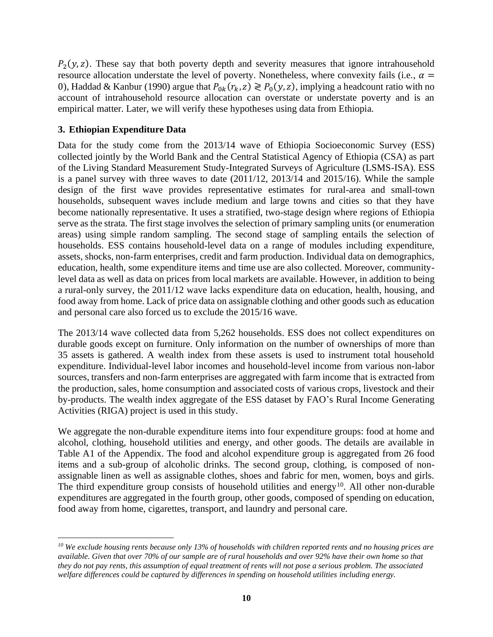$P_2(y, z)$ . These say that both poverty depth and severity measures that ignore intrahousehold resource allocation understate the level of poverty. Nonetheless, where convexity fails (i.e.,  $\alpha$  = 0), Haddad & Kanbur (1990) argue that  $P_{0k}(r_k, z) \ge P_0(y, z)$ , implying a headcount ratio with no account of intrahousehold resource allocation can overstate or understate poverty and is an empirical matter. Later, we will verify these hypotheses using data from Ethiopia.

# **3. Ethiopian Expenditure Data**

Data for the study come from the 2013/14 wave of Ethiopia Socioeconomic Survey (ESS) collected jointly by the World Bank and the Central Statistical Agency of Ethiopia (CSA) as part of the Living Standard Measurement Study-Integrated Surveys of Agriculture (LSMS-ISA). ESS is a panel survey with three waves to date (2011/12, 2013/14 and 2015/16). While the sample design of the first wave provides representative estimates for rural-area and small-town households, subsequent waves include medium and large towns and cities so that they have become nationally representative. It uses a stratified, two-stage design where regions of Ethiopia serve as the strata. The first stage involves the selection of primary sampling units (or enumeration areas) using simple random sampling. The second stage of sampling entails the selection of households. ESS contains household-level data on a range of modules including expenditure, assets, shocks, non-farm enterprises, credit and farm production. Individual data on demographics, education, health, some expenditure items and time use are also collected. Moreover, communitylevel data as well as data on prices from local markets are available. However, in addition to being a rural-only survey, the 2011/12 wave lacks expenditure data on education, health, housing, and food away from home. Lack of price data on assignable clothing and other goods such as education and personal care also forced us to exclude the 2015/16 wave.

The 2013/14 wave collected data from 5,262 households. ESS does not collect expenditures on durable goods except on furniture. Only information on the number of ownerships of more than 35 assets is gathered. A wealth index from these assets is used to instrument total household expenditure. Individual-level labor incomes and household-level income from various non-labor sources, transfers and non-farm enterprises are aggregated with farm income that is extracted from the production, sales, home consumption and associated costs of various crops, livestock and their by-products. The wealth index aggregate of the ESS dataset by FAO's Rural Income Generating Activities (RIGA) project is used in this study.

We aggregate the non-durable expenditure items into four expenditure groups: food at home and alcohol, clothing, household utilities and energy, and other goods. The details are available in [Table A1](#page-25-0) of the Appendix. The food and alcohol expenditure group is aggregated from 26 food items and a sub-group of alcoholic drinks. The second group, clothing, is composed of nonassignable linen as well as assignable clothes, shoes and fabric for men, women, boys and girls. The third expenditure group consists of household utilities and energy<sup>10</sup>. All other non-durable expenditures are aggregated in the fourth group, other goods, composed of spending on education, food away from home, cigarettes, transport, and laundry and personal care.

*<sup>10</sup> We exclude housing rents because only 13% of households with children reported rents and no housing prices are available. Given that over 70% of our sample are of rural households and over 92% have their own home so that they do not pay rents, this assumption of equal treatment of rents will not pose a serious problem. The associated welfare differences could be captured by differences in spending on household utilities including energy.*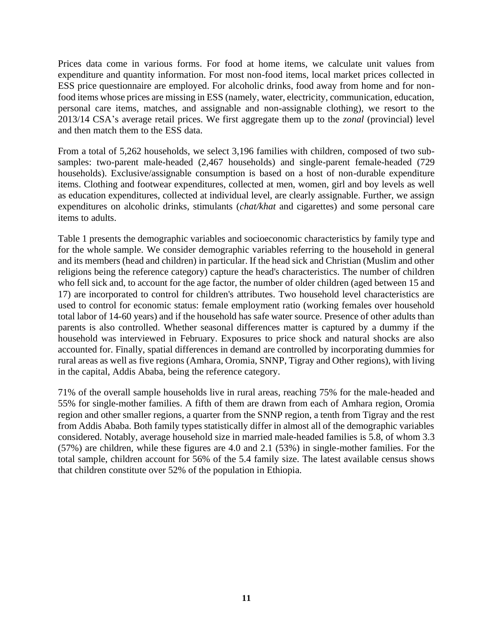Prices data come in various forms. For food at home items, we calculate unit values from expenditure and quantity information. For most non-food items, local market prices collected in ESS price questionnaire are employed. For alcoholic drinks, food away from home and for nonfood items whose prices are missing in ESS (namely, water, electricity, communication, education, personal care items, matches, and assignable and non-assignable clothing), we resort to the 2013/14 CSA's average retail prices. We first aggregate them up to the *zonal* (provincial) level and then match them to the ESS data.

From a total of 5,262 households, we select 3,196 families with children, composed of two subsamples: two-parent male-headed (2,467 households) and single-parent female-headed (729 households). Exclusive/assignable consumption is based on a host of non-durable expenditure items. Clothing and footwear expenditures, collected at men, women, girl and boy levels as well as education expenditures, collected at individual level, are clearly assignable. Further, we assign expenditures on alcoholic drinks, stimulants (*chat/khat* and cigarettes) and some personal care items to adults.

[Table 1](#page-12-0) presents the demographic variables and socioeconomic characteristics by family type and for the whole sample. We consider demographic variables referring to the household in general and its members (head and children) in particular. If the head sick and Christian (Muslim and other religions being the reference category) capture the head's characteristics. The number of children who fell sick and, to account for the age factor, the number of older children (aged between 15 and 17) are incorporated to control for children's attributes. Two household level characteristics are used to control for economic status: female employment ratio (working females over household total labor of 14-60 years) and if the household has safe water source. Presence of other adults than parents is also controlled. Whether seasonal differences matter is captured by a dummy if the household was interviewed in February. Exposures to price shock and natural shocks are also accounted for. Finally, spatial differences in demand are controlled by incorporating dummies for rural areas as well as five regions (Amhara, Oromia, SNNP, Tigray and Other regions), with living in the capital, Addis Ababa, being the reference category.

71% of the overall sample households live in rural areas, reaching 75% for the male-headed and 55% for single-mother families. A fifth of them are drawn from each of Amhara region, Oromia region and other smaller regions, a quarter from the SNNP region, a tenth from Tigray and the rest from Addis Ababa. Both family types statistically differ in almost all of the demographic variables considered. Notably, average household size in married male-headed families is 5.8, of whom 3.3 (57%) are children, while these figures are 4.0 and 2.1 (53%) in single-mother families. For the total sample, children account for 56% of the 5.4 family size. The latest available census shows that children constitute over 52% of the population in Ethiopia.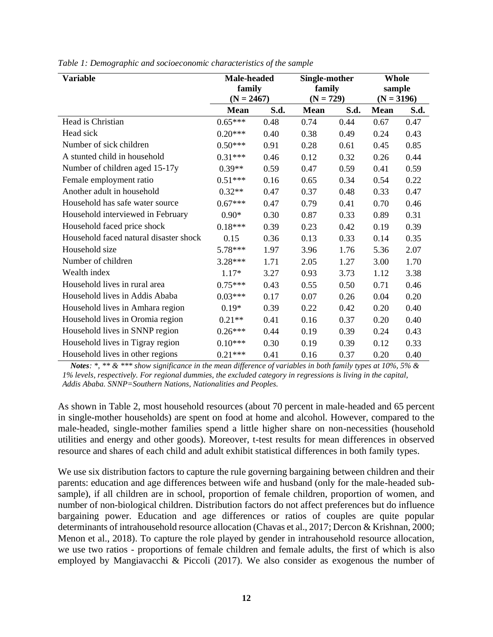| <b>Variable</b>                        | <b>Male-headed</b><br>family<br>$(N = 2467)$ |      | Single-mother<br>family<br>$(N = 729)$ |      | Whole<br>sample<br>$(N = 3196)$ |      |
|----------------------------------------|----------------------------------------------|------|----------------------------------------|------|---------------------------------|------|
|                                        | <b>Mean</b>                                  | S.d. | <b>Mean</b>                            | S.d. | <b>Mean</b>                     | S.d. |
| Head is Christian                      | $0.65***$                                    | 0.48 | 0.74                                   | 0.44 | 0.67                            | 0.47 |
| Head sick                              | $0.20***$                                    | 0.40 | 0.38                                   | 0.49 | 0.24                            | 0.43 |
| Number of sick children                | $0.50***$                                    | 0.91 | 0.28                                   | 0.61 | 0.45                            | 0.85 |
| A stunted child in household           | $0.31***$                                    | 0.46 | 0.12                                   | 0.32 | 0.26                            | 0.44 |
| Number of children aged 15-17y         | $0.39**$                                     | 0.59 | 0.47                                   | 0.59 | 0.41                            | 0.59 |
| Female employment ratio                | $0.51***$                                    | 0.16 | 0.65                                   | 0.34 | 0.54                            | 0.22 |
| Another adult in household             | $0.32**$                                     | 0.47 | 0.37                                   | 0.48 | 0.33                            | 0.47 |
| Household has safe water source        | $0.67***$                                    | 0.47 | 0.79                                   | 0.41 | 0.70                            | 0.46 |
| Household interviewed in February      | $0.90*$                                      | 0.30 | 0.87                                   | 0.33 | 0.89                            | 0.31 |
| Household faced price shock            | $0.18***$                                    | 0.39 | 0.23                                   | 0.42 | 0.19                            | 0.39 |
| Household faced natural disaster shock | 0.15                                         | 0.36 | 0.13                                   | 0.33 | 0.14                            | 0.35 |
| Household size                         | 5.78***                                      | 1.97 | 3.96                                   | 1.76 | 5.36                            | 2.07 |
| Number of children                     | $3.28***$                                    | 1.71 | 2.05                                   | 1.27 | 3.00                            | 1.70 |
| Wealth index                           | $1.17*$                                      | 3.27 | 0.93                                   | 3.73 | 1.12                            | 3.38 |
| Household lives in rural area          | $0.75***$                                    | 0.43 | 0.55                                   | 0.50 | 0.71                            | 0.46 |
| Household lives in Addis Ababa         | $0.03***$                                    | 0.17 | 0.07                                   | 0.26 | 0.04                            | 0.20 |
| Household lives in Amhara region       | $0.19*$                                      | 0.39 | 0.22                                   | 0.42 | 0.20                            | 0.40 |
| Household lives in Oromia region       | $0.21**$                                     | 0.41 | 0.16                                   | 0.37 | 0.20                            | 0.40 |
| Household lives in SNNP region         | $0.26***$                                    | 0.44 | 0.19                                   | 0.39 | 0.24                            | 0.43 |
| Household lives in Tigray region       | $0.10***$                                    | 0.30 | 0.19                                   | 0.39 | 0.12                            | 0.33 |
| Household lives in other regions       | $0.21***$                                    | 0.41 | 0.16                                   | 0.37 | 0.20                            | 0.40 |

<span id="page-12-0"></span>*Table 1: Demographic and socioeconomic characteristics of the sample* 

*Notes: \*, \*\* & \*\*\* show significance in the mean difference of variables in both family types at 10%, 5% & 1% levels, respectively. For regional dummies, the excluded category in regressions is living in the capital, Addis Ababa. SNNP=Southern Nations, Nationalities and Peoples.*

As shown in [Table 2,](#page-13-0) most household resources (about 70 percent in male-headed and 65 percent in single-mother households) are spent on food at home and alcohol. However, compared to the male-headed, single-mother families spend a little higher share on non-necessities (household utilities and energy and other goods). Moreover, t-test results for mean differences in observed resource and shares of each child and adult exhibit statistical differences in both family types.

We use six distribution factors to capture the rule governing bargaining between children and their parents: education and age differences between wife and husband (only for the male-headed subsample), if all children are in school, proportion of female children, proportion of women, and number of non-biological children. Distribution factors do not affect preferences but do influence bargaining power. Education and age differences or ratios of couples are quite popular determinants of intrahousehold resource allocation (Chavas et al., 2017; Dercon & Krishnan, 2000; Menon et al., 2018). To capture the role played by gender in intrahousehold resource allocation, we use two ratios - proportions of female children and female adults, the first of which is also employed by Mangiavacchi & Piccoli (2017). We also consider as exogenous the number of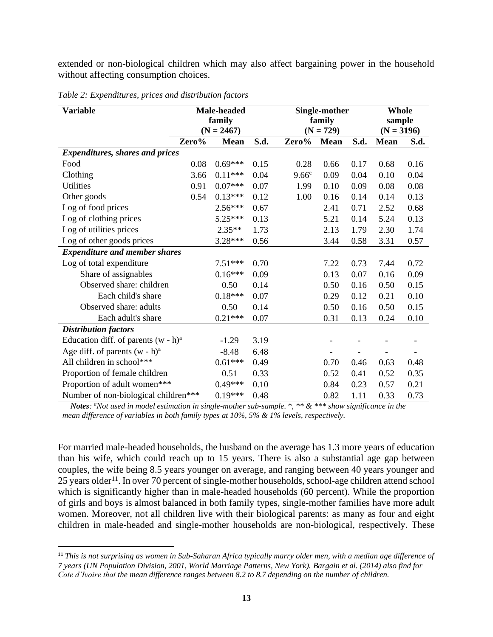extended or non-biological children which may also affect bargaining power in the household without affecting consumption choices.

| <b>Variable</b>                        |        | Male-headed  |      |                   | Single-mother | <b>Whole</b> |              |      |
|----------------------------------------|--------|--------------|------|-------------------|---------------|--------------|--------------|------|
|                                        | family |              |      |                   | family        |              | sample       |      |
|                                        |        | $(N = 2467)$ |      |                   | $(N = 729)$   |              | $(N = 3196)$ |      |
|                                        | Zero%  | <b>Mean</b>  | S.d. | Zero%             | <b>Mean</b>   | S.d.         | <b>Mean</b>  | S.d. |
| <b>Expenditures, shares and prices</b> |        |              |      |                   |               |              |              |      |
| Food                                   | 0.08   | $0.69***$    | 0.15 | 0.28              | 0.66          | 0.17         | 0.68         | 0.16 |
| Clothing                               | 3.66   | $0.11***$    | 0.04 | 9.66 <sup>c</sup> | 0.09          | 0.04         | 0.10         | 0.04 |
| <b>Utilities</b>                       | 0.91   | $0.07***$    | 0.07 | 1.99              | 0.10          | 0.09         | 0.08         | 0.08 |
| Other goods                            | 0.54   | $0.13***$    | 0.12 | 1.00              | 0.16          | 0.14         | 0.14         | 0.13 |
| Log of food prices                     |        | $2.56***$    | 0.67 |                   | 2.41          | 0.71         | 2.52         | 0.68 |
| Log of clothing prices                 |        | $5.25***$    | 0.13 |                   | 5.21          | 0.14         | 5.24         | 0.13 |
| Log of utilities prices                |        | $2.35**$     | 1.73 |                   | 2.13          | 1.79         | 2.30         | 1.74 |
| Log of other goods prices              |        | $3.28***$    | 0.56 |                   | 3.44          | 0.58         | 3.31         | 0.57 |
| <b>Expenditure and member shares</b>   |        |              |      |                   |               |              |              |      |
| Log of total expenditure               |        | $7.51***$    | 0.70 |                   | 7.22          | 0.73         | 7.44         | 0.72 |
| Share of assignables                   |        | $0.16***$    | 0.09 |                   | 0.13          | 0.07         | 0.16         | 0.09 |
| Observed share: children               |        | 0.50         | 0.14 |                   | 0.50          | 0.16         | 0.50         | 0.15 |
| Each child's share                     |        | $0.18***$    | 0.07 |                   | 0.29          | 0.12         | 0.21         | 0.10 |
| Observed share: adults                 |        | 0.50         | 0.14 |                   | 0.50          | 0.16         | 0.50         | 0.15 |
| Each adult's share                     |        | $0.21***$    | 0.07 |                   | 0.31          | 0.13         | 0.24         | 0.10 |
| <b>Distribution factors</b>            |        |              |      |                   |               |              |              |      |
| Education diff. of parents $(w - h)^a$ |        | $-1.29$      | 3.19 |                   |               |              |              |      |
| Age diff. of parents $(w - h)^a$       |        | $-8.48$      | 6.48 |                   |               |              |              |      |
| All children in school***              |        | $0.61***$    | 0.49 |                   | 0.70          | 0.46         | 0.63         | 0.48 |
| Proportion of female children          |        | 0.51         | 0.33 |                   | 0.52          | 0.41         | 0.52         | 0.35 |
| Proportion of adult women***           |        | $0.49***$    | 0.10 |                   | 0.84          | 0.23         | 0.57         | 0.21 |
| Number of non-biological children***   |        | $0.19***$    | 0.48 |                   | 0.82          | 1.11         | 0.33         | 0.73 |

<span id="page-13-0"></span>*Table 2: Expenditures, prices and distribution factors*

*Notes: <sup>a</sup>Not used in model estimation in single-mother sub-sample. \*, \*\* & \*\*\* show significance in the mean difference of variables in both family types at 10%, 5% & 1% levels, respectively.*

For married male-headed households, the husband on the average has 1.3 more years of education than his wife, which could reach up to 15 years. There is also a substantial age gap between couples, the wife being 8.5 years younger on average, and ranging between 40 years younger and 25 years older<sup>11</sup>. In over 70 percent of single-mother households, school-age children attend school which is significantly higher than in male-headed households (60 percent). While the proportion of girls and boys is almost balanced in both family types, single-mother families have more adult women. Moreover, not all children live with their biological parents: as many as four and eight children in male-headed and single-mother households are non-biological, respectively. These

<sup>11</sup> *This is not surprising as women in Sub-Saharan Africa typically marry older men, with a median age difference of 7 years (UN Population Division, 2001, World Marriage Patterns, New York). Bargain et al. (2014) also find for Cote d'Ivoire that the mean difference ranges between 8.2 to 8.7 depending on the number of children.*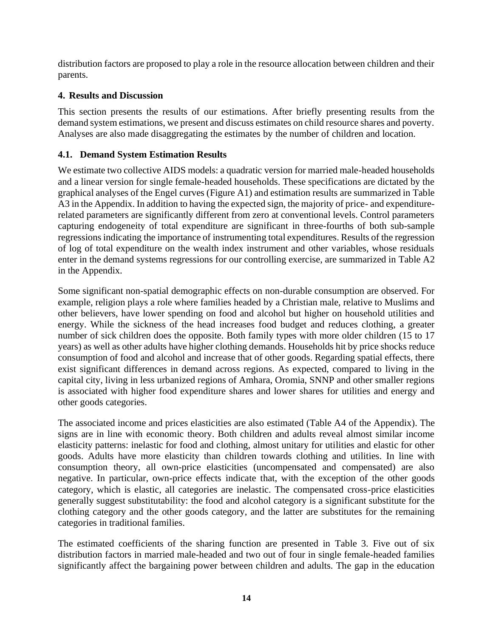distribution factors are proposed to play a role in the resource allocation between children and their parents.

# **4. Results and Discussion**

This section presents the results of our estimations. After briefly presenting results from the demand system estimations, we present and discuss estimates on child resource shares and poverty. Analyses are also made disaggregating the estimates by the number of children and location.

# **4.1. Demand System Estimation Results**

We estimate two collective AIDS models: a quadratic version for married male-headed households and a linear version for single female-headed households. These specifications are dictated by the graphical analyses of the Engel curves [\(Figure A1\)](#page-26-0) and estimation results are summarized in [Table](#page-28-0)  [A3](#page-28-0) in the Appendix. In addition to having the expected sign, the majority of price- and expenditurerelated parameters are significantly different from zero at conventional levels. Control parameters capturing endogeneity of total expenditure are significant in three-fourths of both sub-sample regressions indicating the importance of instrumenting total expenditures. Results of the regression of log of total expenditure on the wealth index instrument and other variables, whose residuals enter in the demand systems regressions for our controlling exercise, are summarized in [Table A2](#page-27-0) in the Appendix.

Some significant non-spatial demographic effects on non-durable consumption are observed. For example, religion plays a role where families headed by a Christian male, relative to Muslims and other believers, have lower spending on food and alcohol but higher on household utilities and energy. While the sickness of the head increases food budget and reduces clothing, a greater number of sick children does the opposite. Both family types with more older children (15 to 17 years) as well as other adults have higher clothing demands. Households hit by price shocks reduce consumption of food and alcohol and increase that of other goods. Regarding spatial effects, there exist significant differences in demand across regions. As expected, compared to living in the capital city, living in less urbanized regions of Amhara, Oromia, SNNP and other smaller regions is associated with higher food expenditure shares and lower shares for utilities and energy and other goods categories.

The associated income and prices elasticities are also estimated [\(Table A4](#page-29-0) of the Appendix). The signs are in line with economic theory. Both children and adults reveal almost similar income elasticity patterns: inelastic for food and clothing, almost unitary for utilities and elastic for other goods. Adults have more elasticity than children towards clothing and utilities. In line with consumption theory, all own-price elasticities (uncompensated and compensated) are also negative. In particular, own-price effects indicate that, with the exception of the other goods category, which is elastic, all categories are inelastic. The compensated cross-price elasticities generally suggest substitutability: the food and alcohol category is a significant substitute for the clothing category and the other goods category, and the latter are substitutes for the remaining categories in traditional families.

The estimated coefficients of the sharing function are presented in [Table 3.](#page-15-0) Five out of six distribution factors in married male-headed and two out of four in single female-headed families significantly affect the bargaining power between children and adults. The gap in the education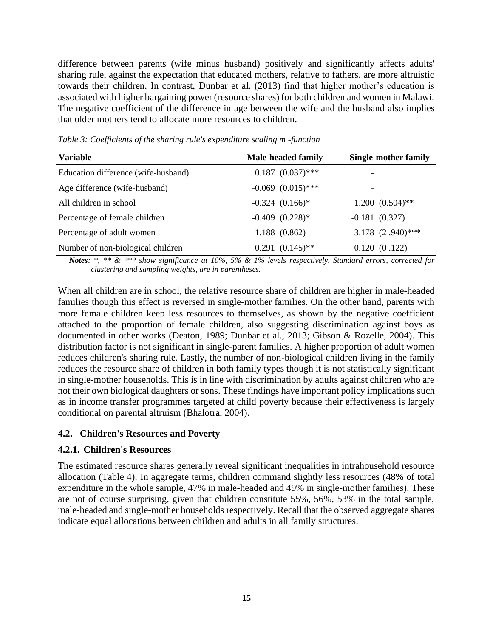difference between parents (wife minus husband) positively and significantly affects adults' sharing rule, against the expectation that educated mothers, relative to fathers, are more altruistic towards their children. In contrast, Dunbar et al. (2013) find that higher mother's education is associated with higher bargaining power (resource shares) for both children and women in Malawi. The negative coefficient of the difference in age between the wife and the husband also implies that older mothers tend to allocate more resources to children.

| <b>Variable</b>                     | <b>Male-headed family</b>       | <b>Single-mother family</b> |
|-------------------------------------|---------------------------------|-----------------------------|
| Education difference (wife-husband) | $0.187 (0.037)$ ***             | $\overline{\phantom{a}}$    |
| Age difference (wife-husband)       | $-0.069$ $(0.015)$ ***          | $\overline{\phantom{a}}$    |
| All children in school              | $-0.324$ $(0.166)$ <sup>*</sup> | $1.200(0.504)$ **           |
| Percentage of female children       | $-0.409$ $(0.228)*$             | $-0.181(0.327)$             |
| Percentage of adult women           | 1.188(0.862)                    | 3.178 (2.940)***            |
| Number of non-biological children   | $0.291 (0.145)$ **              | 0.120(0.122)                |

<span id="page-15-0"></span>*Table 3: Coefficients of the sharing rule's expenditure scaling m -function*

*Notes: \*, \*\* & \*\*\* show significance at 10%, 5% & 1% levels respectively. Standard errors, corrected for clustering and sampling weights, are in parentheses.*

When all children are in school, the relative resource share of children are higher in male-headed families though this effect is reversed in single-mother families. On the other hand, parents with more female children keep less resources to themselves, as shown by the negative coefficient attached to the proportion of female children, also suggesting discrimination against boys as documented in other works (Deaton, 1989; Dunbar et al., 2013; Gibson & Rozelle, 2004). This distribution factor is not significant in single-parent families. A higher proportion of adult women reduces children's sharing rule. Lastly, the number of non-biological children living in the family reduces the resource share of children in both family types though it is not statistically significant in single-mother households. This is in line with discrimination by adults against children who are not their own biological daughters or sons. These findings have important policy implications such as in income transfer programmes targeted at child poverty because their effectiveness is largely conditional on parental altruism (Bhalotra, 2004).

# **4.2. Children's Resources and Poverty**

# **4.2.1. Children's Resources**

The estimated resource shares generally reveal significant inequalities in intrahousehold resource allocation [\(Table 4\)](#page-16-0). In aggregate terms, children command slightly less resources (48% of total expenditure in the whole sample, 47% in male-headed and 49% in single-mother families). These are not of course surprising, given that children constitute 55%, 56%, 53% in the total sample, male-headed and single-mother households respectively. Recall that the observed aggregate shares indicate equal allocations between children and adults in all family structures.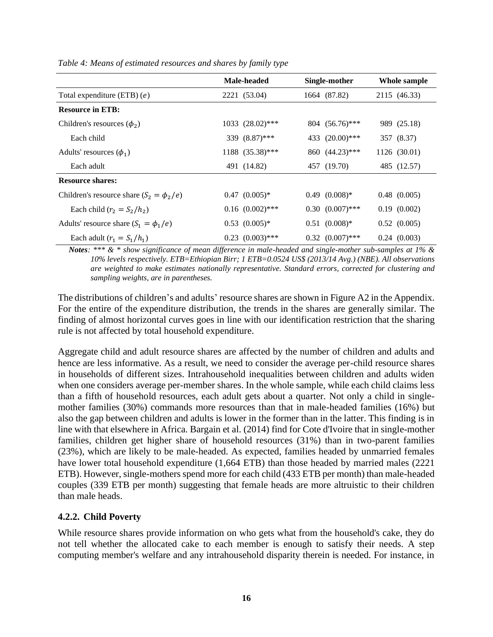|                                              | Male-headed          | Single-mother        | Whole sample     |
|----------------------------------------------|----------------------|----------------------|------------------|
| Total expenditure (ETB) $(e)$                | 2221 (53.04)         | 1664 (87.82)         | 2115 (46.33)     |
| <b>Resource in ETB:</b>                      |                      |                      |                  |
| Children's resources $(\phi_2)$              | $1033$ $(28.02)$ *** | $804 (56.76)$ ***    | 989 (25.18)      |
| Each child                                   | 339 (8.87)***        | 433 (20.00)***       | 357 (8.37)       |
| Adults' resources $(\phi_1)$                 | 1188 (35.38)***      | 860 (44.23)***       | 1126 (30.01)     |
| Each adult                                   | 491 (14.82)          | 457 (19.70)          | 485 (12.57)      |
| <b>Resource shares:</b>                      |                      |                      |                  |
| Children's resource share $(S_2 = \phi_2/e)$ | $0.47$ $(0.005)*$    | $0.49$ $(0.008)*$    | $0.48$ $(0.005)$ |
| Each child $(r_2 = S_2/h_2)$                 | $0.16$ $(0.002)$ *** | $0.30(0.007)$ ***    | 0.19(0.002)      |
| Adults' resource share $(S_1 = \phi_1/e)$    | $0.53$ $(0.005)^*$   | $0.51$ $(0.008)*$    | $0.52$ $(0.005)$ |
| Each adult $(r_1 = S_1/h_1)$                 | $0.23$ $(0.003)$ *** | $0.32$ $(0.007)$ *** | 0.24(0.003)      |

<span id="page-16-0"></span>*Table 4: Means of estimated resources and shares by family type*

*Notes: \*\*\* & \* show significance of mean difference in male-headed and single-mother sub-samples at 1% & 10% levels respectively. ETB=Ethiopian Birr; 1 ETB=0.0524 US\$ (2013/14 Avg.) (NBE). All observations are weighted to make estimates nationally representative. Standard errors, corrected for clustering and sampling weights, are in parentheses.*

The distributions of children's and adults' resource shares are shown in [Figure A2](#page-30-0) in the Appendix. For the entire of the expenditure distribution, the trends in the shares are generally similar. The finding of almost horizontal curves goes in line with our identification restriction that the sharing rule is not affected by total household expenditure.

Aggregate child and adult resource shares are affected by the number of children and adults and hence are less informative. As a result, we need to consider the average per-child resource shares in households of different sizes. Intrahousehold inequalities between children and adults widen when one considers average per-member shares. In the whole sample, while each child claims less than a fifth of household resources, each adult gets about a quarter. Not only a child in singlemother families (30%) commands more resources than that in male-headed families (16%) but also the gap between children and adults is lower in the former than in the latter. This finding is in line with that elsewhere in Africa. Bargain et al. (2014) find for Cote d'Ivoire that in single-mother families, children get higher share of household resources (31%) than in two-parent families (23%), which are likely to be male-headed. As expected, families headed by unmarried females have lower total household expenditure (1,664 ETB) than those headed by married males (2221 ETB). However, single-mothers spend more for each child (433 ETB per month) than male-headed couples (339 ETB per month) suggesting that female heads are more altruistic to their children than male heads.

# **4.2.2. Child Poverty**

While resource shares provide information on who gets what from the household's cake, they do not tell whether the allocated cake to each member is enough to satisfy their needs. A step computing member's welfare and any intrahousehold disparity therein is needed. For instance, in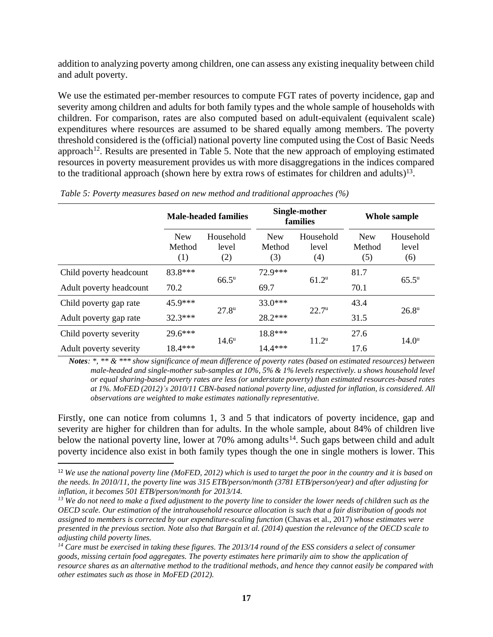addition to analyzing poverty among children, one can assess any existing inequality between child and adult poverty.

We use the estimated per-member resources to compute FGT rates of poverty incidence, gap and severity among children and adults for both family types and the whole sample of households with children. For comparison, rates are also computed based on adult-equivalent (equivalent scale) expenditures where resources are assumed to be shared equally among members. The poverty threshold considered is the (official) national poverty line computed using the Cost of Basic Needs approach<sup>12</sup>. Results are presented in [Table 5.](#page-17-0) Note that the new approach of employing estimated resources in poverty measurement provides us with more disaggregations in the indices compared to the traditional approach (shown here by extra rows of estimates for children and adults)<sup>13</sup>.

|                         |                             | <b>Male-headed families</b> |                             | Single-mother<br>families | Whole sample                |                           |  |
|-------------------------|-----------------------------|-----------------------------|-----------------------------|---------------------------|-----------------------------|---------------------------|--|
|                         | <b>New</b><br>Method<br>(1) | Household<br>level<br>(2)   | <b>New</b><br>Method<br>(3) | Household<br>level<br>(4) | <b>New</b><br>Method<br>(5) | Household<br>level<br>(6) |  |
| Child poverty headcount | 83.8***                     | $66.5^{\rm u}$              | 72.9***                     | $61.2^u$                  | 81.7                        | $65.5^{\rm u}$            |  |
| Adult poverty headcount | 70.2                        |                             | 69.7                        |                           | 70.1                        |                           |  |
| Child poverty gap rate  | $45.9***$                   |                             | $33.0***$                   |                           | 43.4                        | $26.8^{\rm u}$            |  |
| Adult poverty gap rate  | $32.3***$                   | $27.8^{\rm u}$              | 28.2***                     | $22.7^{\rm u}$            | 31.5                        |                           |  |
| Child poverty severity  | 29.6***                     |                             | 18.8***                     |                           | 27.6                        |                           |  |
| Adult poverty severity  | 18.4***                     | $14.6^{\rm u}$              | 14.4***                     | $11.2^{\rm u}$            | 17.6                        | 14.0 <sup>u</sup>         |  |

<span id="page-17-0"></span>*Table 5: Poverty measures based on new method and traditional approaches (%)*

*Notes: \*, \*\* & \*\*\* show significance of mean difference of poverty rates (based on estimated resources) between male-headed and single-mother sub-samples at 10%, 5% & 1% levels respectively. u shows household level or equal sharing-based poverty rates are less (or understate poverty) than estimated resources-based rates at 1%. MoFED (2012)'s 2010/11 CBN-based national poverty line, adjusted for inflation, is considered. All observations are weighted to make estimates nationally representative.*

Firstly, one can notice from columns 1, 3 and 5 that indicators of poverty incidence, gap and severity are higher for children than for adults. In the whole sample, about 84% of children live below the national poverty line, lower at 70% among adults<sup>14</sup>. Such gaps between child and adult poverty incidence also exist in both family types though the one in single mothers is lower. This

<sup>12</sup> *We use the national poverty line (MoFED, 2012) which is used to target the poor in the country and it is based on the needs. In 2010/11, the poverty line was 315 ETB/person/month (3781 ETB/person/year) and after adjusting for inflation, it becomes 501 ETB/person/month for 2013/14.*

*<sup>13</sup> We do not need to make a fixed adjustment to the poverty line to consider the lower needs of children such as the OECD scale. Our estimation of the intrahousehold resource allocation is such that a fair distribution of goods not assigned to members is corrected by our expenditure-scaling function* (Chavas et al., 2017) *whose estimates were presented in the previous section. Note also that Bargain et al. (2014) question the relevance of the OECD scale to adjusting child poverty lines.*

*<sup>14</sup> Care must be exercised in taking these figures. The 2013/14 round of the ESS considers a select of consumer goods, missing certain food aggregates. The poverty estimates here primarily aim to show the application of resource shares as an alternative method to the traditional methods, and hence they cannot easily be compared with other estimates such as those in MoFED (2012).*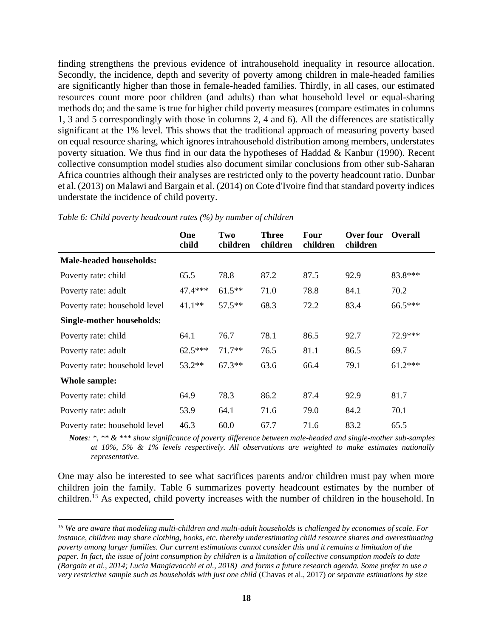finding strengthens the previous evidence of intrahousehold inequality in resource allocation. Secondly, the incidence, depth and severity of poverty among children in male-headed families are significantly higher than those in female-headed families. Thirdly, in all cases, our estimated resources count more poor children (and adults) than what household level or equal-sharing methods do; and the same is true for higher child poverty measures (compare estimates in columns 1, 3 and 5 correspondingly with those in columns 2, 4 and 6). All the differences are statistically significant at the 1% level. This shows that the traditional approach of measuring poverty based on equal resource sharing, which ignores intrahousehold distribution among members, understates poverty situation. We thus find in our data the hypotheses of Haddad & Kanbur (1990). Recent collective consumption model studies also document similar conclusions from other sub-Saharan Africa countries although their analyses are restricted only to the poverty headcount ratio. Dunbar et al. (2013) on Malawi and Bargain et al. (2014) on Cote d'Ivoire find that standard poverty indices understate the incidence of child poverty.

|                                | One<br>child | Two<br>children | <b>Three</b><br>children | <b>Four</b><br>children | Over four<br>children | <b>Overall</b> |
|--------------------------------|--------------|-----------------|--------------------------|-------------------------|-----------------------|----------------|
| <b>Male-headed households:</b> |              |                 |                          |                         |                       |                |
| Poverty rate: child            | 65.5         | 78.8            | 87.2                     | 87.5                    | 92.9                  | 83.8***        |
| Poverty rate: adult            | $47.4***$    | $61.5***$       | 71.0                     | 78.8                    | 84.1                  | 70.2           |
| Poverty rate: household level  | $41.1**$     | $57.5**$        | 68.3                     | 72.2                    | 83.4                  | 66.5***        |
| Single-mother households:      |              |                 |                          |                         |                       |                |
| Poverty rate: child            | 64.1         | 76.7            | 78.1                     | 86.5                    | 92.7                  | 72.9***        |
| Poverty rate: adult            | $62.5***$    | $71.7**$        | 76.5                     | 81.1                    | 86.5                  | 69.7           |
| Poverty rate: household level  | 53.2**       | $67.3**$        | 63.6                     | 66.4                    | 79.1                  | $61.2***$      |
| Whole sample:                  |              |                 |                          |                         |                       |                |
| Poverty rate: child            | 64.9         | 78.3            | 86.2                     | 87.4                    | 92.9                  | 81.7           |
| Poverty rate: adult            | 53.9         | 64.1            | 71.6                     | 79.0                    | 84.2                  | 70.1           |
| Poverty rate: household level  | 46.3         | 60.0            | 67.7                     | 71.6                    | 83.2                  | 65.5           |

<span id="page-18-0"></span>*Table 6: Child poverty headcount rates (%) by number of children*

*Notes: \*, \*\* & \*\*\* show significance of poverty difference between male-headed and single-mother sub-samples at 10%, 5% & 1% levels respectively. All observations are weighted to make estimates nationally representative.*

One may also be interested to see what sacrifices parents and/or children must pay when more children join the family. [Table 6](#page-18-0) summarizes poverty headcount estimates by the number of children.<sup>15</sup> As expected, child poverty increases with the number of children in the household. In

*<sup>15</sup> We are aware that modeling multi-children and multi-adult households is challenged by economies of scale. For instance, children may share clothing, books, etc. thereby underestimating child resource shares and overestimating poverty among larger families. Our current estimations cannot consider this and it remains a limitation of the paper. In fact, the issue of joint consumption by children is a limitation of collective consumption models to date (Bargain et al., 2014; Lucia Mangiavacchi et al., 2018) and forms a future research agenda. Some prefer to use a very restrictive sample such as households with just one child* (Chavas et al., 2017) *or separate estimations by size*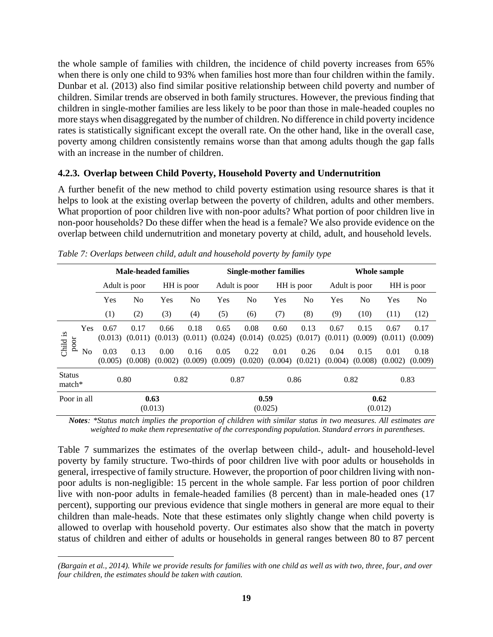the whole sample of families with children, the incidence of child poverty increases from 65% when there is only one child to 93% when families host more than four children within the family. Dunbar et al. (2013) also find similar positive relationship between child poverty and number of children. Similar trends are observed in both family structures. However, the previous finding that children in single-mother families are less likely to be poor than those in male-headed couples no more stays when disaggregated by the number of children. No difference in child poverty incidence rates is statistically significant except the overall rate. On the other hand, like in the overall case, poverty among children consistently remains worse than that among adults though the gap falls with an increase in the number of children.

# **4.2.3. Overlap between Child Poverty, Household Poverty and Undernutrition**

A further benefit of the new method to child poverty estimation using resource shares is that it helps to look at the existing overlap between the poverty of children, adults and other members. What proportion of poor children live with non-poor adults? What portion of poor children live in non-poor households? Do these differ when the head is a female? We also provide evidence on the overlap between child undernutrition and monetary poverty at child, adult, and household levels.

|                           |                 |                 | <b>Male-headed families</b> |                 |                                    |                             |                 | Single-mother families                |                 | Whole sample    |                 |                 |                 |
|---------------------------|-----------------|-----------------|-----------------------------|-----------------|------------------------------------|-----------------------------|-----------------|---------------------------------------|-----------------|-----------------|-----------------|-----------------|-----------------|
|                           |                 |                 | Adult is poor               |                 | HH is poor                         | HH is poor<br>Adult is poor |                 |                                       |                 | Adult is poor   | HH is poor      |                 |                 |
|                           |                 | Yes             | No                          | Yes             | No                                 | Yes                         | N <sub>0</sub>  | Yes                                   | No              | Yes             | N <sub>0</sub>  | Yes             | N <sub>0</sub>  |
|                           |                 | (1)             | (2)                         | (3)             | (4)                                | (5)                         | (6)             | (7)                                   | (8)             | (9)             | (10)            | (11)            | (12)            |
| Child is<br>poor          | <b>Yes</b>      | 0.67<br>(0.013) | 0.17<br>(0.011)             | 0.66<br>(0.013) | 0.18<br>(0.011)                    | 0.65<br>(0.024)             | 0.08<br>(0.014) | 0.60<br>(0.025)                       | 0.13<br>(0.017) | 0.67<br>(0.011) | 0.15<br>(0.009) | 0.67<br>(0.011) | 0.17<br>(0.009) |
|                           | N <sub>0</sub>  | 0.03<br>(0.005) | 0.13<br>(0.008)             | 0.00<br>(0.002) | 0.16<br>(0.009)                    | 0.05                        | 0.22            | 0.01<br>$(0.009)$ $(0.020)$ $(0.004)$ | 0.26<br>(0.021) | 0.04<br>(0.004) | 0.15<br>(0.008) | 0.01<br>(0.002) | 0.18<br>(0.009) |
| <b>Status</b><br>$match*$ |                 |                 | 0.80                        | 0.82            |                                    | 0.87                        |                 |                                       | 0.86            |                 | 0.82            |                 | 0.83            |
| Poor in all               | 0.63<br>(0.013) |                 |                             |                 | 0.59<br>0.62<br>(0.025)<br>(0.012) |                             |                 |                                       |                 |                 |                 |                 |                 |

<span id="page-19-0"></span>

*Notes: \*Status match implies the proportion of children with similar status in two measures. All estimates are weighted to make them representative of the corresponding population. Standard errors in parentheses.*

[Table 7](#page-19-0) summarizes the estimates of the overlap between child-, adult- and household-level poverty by family structure. Two-thirds of poor children live with poor adults or households in general, irrespective of family structure. However, the proportion of poor children living with nonpoor adults is non-negligible: 15 percent in the whole sample. Far less portion of poor children live with non-poor adults in female-headed families (8 percent) than in male-headed ones (17 percent), supporting our previous evidence that single mothers in general are more equal to their children than male-heads. Note that these estimates only slightly change when child poverty is allowed to overlap with household poverty. Our estimates also show that the match in poverty status of children and either of adults or households in general ranges between 80 to 87 percent

*<sup>(</sup>Bargain et al., 2014). While we provide results for families with one child as well as with two, three, four, and over four children, the estimates should be taken with caution.*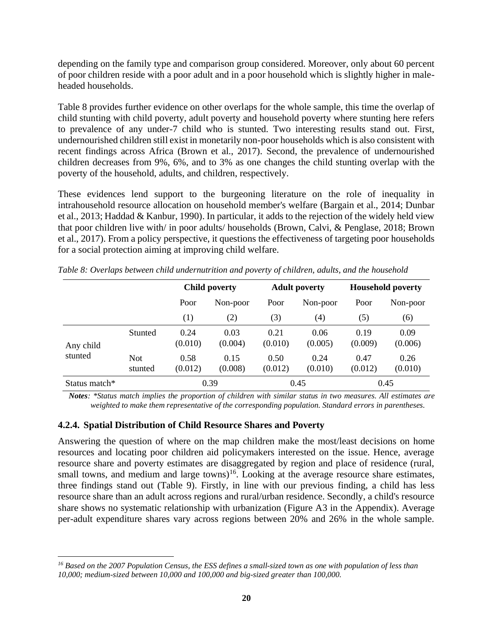depending on the family type and comparison group considered. Moreover, only about 60 percent of poor children reside with a poor adult and in a poor household which is slightly higher in maleheaded households.

[Table 8](#page-20-0) provides further evidence on other overlaps for the whole sample, this time the overlap of child stunting with child poverty, adult poverty and household poverty where stunting here refers to prevalence of any under-7 child who is stunted. Two interesting results stand out. First, undernourished children still exist in monetarily non-poor households which is also consistent with recent findings across Africa (Brown et al., 2017). Second, the prevalence of undernourished children decreases from 9%, 6%, and to 3% as one changes the child stunting overlap with the poverty of the household, adults, and children, respectively.

These evidences lend support to the burgeoning literature on the role of inequality in intrahousehold resource allocation on household member's welfare (Bargain et al., 2014; Dunbar et al., 2013; Haddad & Kanbur, 1990). In particular, it adds to the rejection of the widely held view that poor children live with/ in poor adults/ households (Brown, Calvi, & Penglase, 2018; Brown et al., 2017). From a policy perspective, it questions the effectiveness of targeting poor households for a social protection aiming at improving child welfare.

|                           |                       |                 | <b>Child poverty</b> |                 | <b>Adult poverty</b> | <b>Household poverty</b>                          |                 |  |
|---------------------------|-----------------------|-----------------|----------------------|-----------------|----------------------|---------------------------------------------------|-----------------|--|
|                           |                       | Poor            | Non-poor             | Poor            | Non-poor             | Poor<br>(5)<br>0.19<br>(0.009)<br>0.47<br>(0.012) | Non-poor        |  |
|                           |                       | (1)             | (2)                  | (3)             | (4)                  |                                                   | (6)             |  |
| Any child                 | Stunted               | 0.24<br>(0.010) | 0.03<br>(0.004)      |                 | 0.06<br>(0.005)      |                                                   | 0.09<br>(0.006) |  |
| stunted                   | <b>Not</b><br>stunted | 0.58<br>(0.012) | 0.15<br>(0.008)      | 0.50<br>(0.012) | 0.24<br>(0.010)      |                                                   | 0.26<br>(0.010) |  |
| Status match <sup>*</sup> |                       |                 | 0.39                 |                 | 0.45                 |                                                   | 0.45            |  |

<span id="page-20-0"></span>*Table 8: Overlaps between child undernutrition and poverty of children, adults, and the household*

*Notes: \*Status match implies the proportion of children with similar status in two measures. All estimates are weighted to make them representative of the corresponding population. Standard errors in parentheses.*

# **4.2.4. Spatial Distribution of Child Resource Shares and Poverty**

Answering the question of where on the map children make the most/least decisions on home resources and locating poor children aid policymakers interested on the issue. Hence, average resource share and poverty estimates are disaggregated by region and place of residence (rural, small towns, and medium and large towns)<sup>16</sup>. Looking at the average resource share estimates, three findings stand out [\(Table 9\)](#page-21-0). Firstly, in line with our previous finding, a child has less resource share than an adult across regions and rural/urban residence. Secondly, a child's resource share shows no systematic relationship with urbanization [\(Figure A3](#page-30-1) in the Appendix). Average per-adult expenditure shares vary across regions between 20% and 26% in the whole sample.

*<sup>16</sup> Based on the 2007 Population Census, the ESS defines a small-sized town as one with population of less than 10,000; medium-sized between 10,000 and 100,000 and big-sized greater than 100,000.*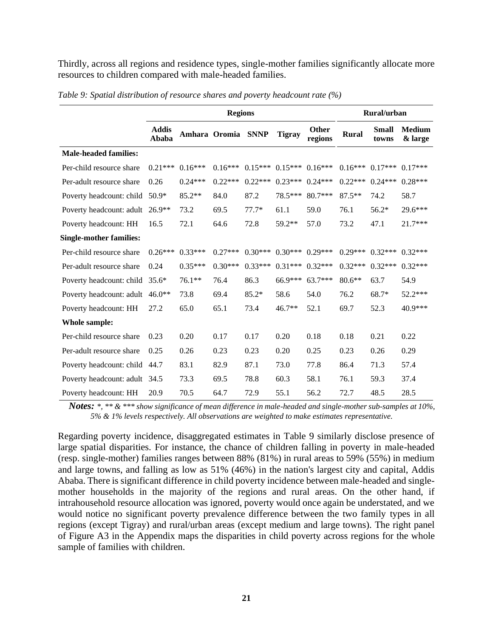Thirdly, across all regions and residence types, single-mother families significantly allocate more resources to children compared with male-headed families.

|                                 |                       |           | <b>Regions</b>     |           |               |                         |              | Rural/urban           |                          |
|---------------------------------|-----------------------|-----------|--------------------|-----------|---------------|-------------------------|--------------|-----------------------|--------------------------|
|                                 | <b>Addis</b><br>Ababa |           | Amhara Oromia SNNP |           | <b>Tigray</b> | <b>Other</b><br>regions | <b>Rural</b> | <b>Small</b><br>towns | <b>Medium</b><br>& large |
| <b>Male-headed families:</b>    |                       |           |                    |           |               |                         |              |                       |                          |
| Per-child resource share        | $0.21***$             | $0.16***$ | $0.16***$          | $0.15***$ |               | $0.15***$ 0.16***       | $0.16***$    | $0.17***$             | $0.17***$                |
| Per-adult resource share        | 0.26                  | $0.24***$ | $0.22***$          | $0.22***$ | $0.23***$     | $0.24***$               | $0.22***$    | $0.24***$             | $0.28***$                |
| Poverty headcount: child 50.9*  |                       | 85.2**    | 84.0               | 87.2      | 78.5***       | $80.7***$               | $87.5**$     | 74.2                  | 58.7                     |
| Poverty headcount: adult 26.9** |                       | 73.2      | 69.5               | $77.7*$   | 61.1          | 59.0                    | 76.1         | $56.2*$               | 29.6***                  |
| Poverty headcount: HH           | 16.5                  | 72.1      | 64.6               | 72.8      | 59.2**        | 57.0                    | 73.2         | 47.1                  | 21.7***                  |
| <b>Single-mother families:</b>  |                       |           |                    |           |               |                         |              |                       |                          |
| Per-child resource share        | $0.26***$             | $0.33***$ | $0.27***$          | $0.30***$ | $0.30***$     | $0.29***$               | $0.29***$    | $0.32***$             | $0.32***$                |
| Per-adult resource share        | 0.24                  | $0.35***$ | $0.30***$          | $0.33***$ | $0.31***$     | $0.32***$               | $0.32***$    | $0.32***$             | $0.32***$                |
| Poverty headcount: child 35.6*  |                       | 76.1**    | 76.4               | 86.3      | 66.9***       | $63.7***$               | $80.6**$     | 63.7                  | 54.9                     |
| Poverty headcount: adult 46.0** |                       | 73.8      | 69.4               | $85.2*$   | 58.6          | 54.0                    | 76.2         | $68.7*$               | 52.2***                  |
| Poverty headcount: HH           | 27.2                  | 65.0      | 65.1               | 73.4      | $46.7**$      | 52.1                    | 69.7         | 52.3                  | 40.9***                  |
| <b>Whole sample:</b>            |                       |           |                    |           |               |                         |              |                       |                          |
| Per-child resource share        | 0.23                  | 0.20      | 0.17               | 0.17      | 0.20          | 0.18                    | 0.18         | 0.21                  | 0.22                     |
| Per-adult resource share        | 0.25                  | 0.26      | 0.23               | 0.23      | 0.20          | 0.25                    | 0.23         | 0.26                  | 0.29                     |
| Poverty headcount: child 44.7   |                       | 83.1      | 82.9               | 87.1      | 73.0          | 77.8                    | 86.4         | 71.3                  | 57.4                     |
| Poverty headcount: adult 34.5   |                       | 73.3      | 69.5               | 78.8      | 60.3          | 58.1                    | 76.1         | 59.3                  | 37.4                     |
| Poverty headcount: HH           | 20.9                  | 70.5      | 64.7               | 72.9      | 55.1          | 56.2                    | 72.7         | 48.5                  | 28.5                     |

<span id="page-21-0"></span>*Table 9: Spatial distribution of resource shares and poverty headcount rate (%)*

*Notes: \*, \*\* & \*\*\* show significance of mean difference in male-headed and single-mother sub-samples at 10%, 5% & 1% levels respectively. All observations are weighted to make estimates representative.* 

Regarding poverty incidence, disaggregated estimates in [Table 9](#page-21-0) similarly disclose presence of large spatial disparities. For instance, the chance of children falling in poverty in male-headed (resp. single-mother) families ranges between 88% (81%) in rural areas to 59% (55%) in medium and large towns, and falling as low as 51% (46%) in the nation's largest city and capital, Addis Ababa. There is significant difference in child poverty incidence between male-headed and singlemother households in the majority of the regions and rural areas. On the other hand, if intrahousehold resource allocation was ignored, poverty would once again be understated, and we would notice no significant poverty prevalence difference between the two family types in all regions (except Tigray) and rural/urban areas (except medium and large towns). The right panel of [Figure A3](#page-30-1) in the Appendix maps the disparities in child poverty across regions for the whole sample of families with children.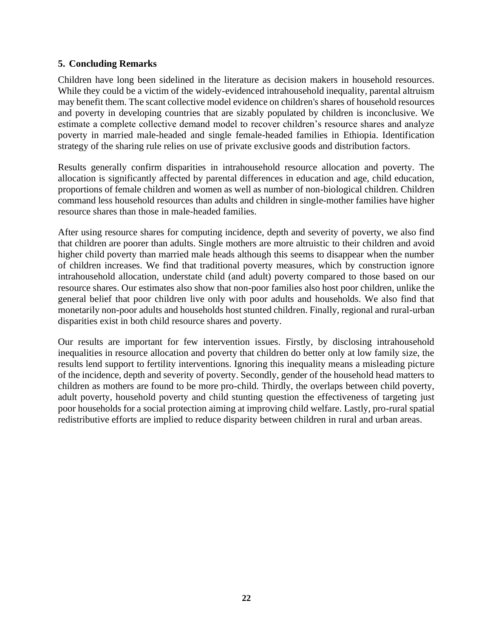# **5. Concluding Remarks**

Children have long been sidelined in the literature as decision makers in household resources. While they could be a victim of the widely-evidenced intrahousehold inequality, parental altruism may benefit them. The scant collective model evidence on children's shares of household resources and poverty in developing countries that are sizably populated by children is inconclusive. We estimate a complete collective demand model to recover children's resource shares and analyze poverty in married male-headed and single female-headed families in Ethiopia. Identification strategy of the sharing rule relies on use of private exclusive goods and distribution factors.

Results generally confirm disparities in intrahousehold resource allocation and poverty. The allocation is significantly affected by parental differences in education and age, child education, proportions of female children and women as well as number of non-biological children. Children command less household resources than adults and children in single-mother families have higher resource shares than those in male-headed families.

After using resource shares for computing incidence, depth and severity of poverty, we also find that children are poorer than adults. Single mothers are more altruistic to their children and avoid higher child poverty than married male heads although this seems to disappear when the number of children increases. We find that traditional poverty measures, which by construction ignore intrahousehold allocation, understate child (and adult) poverty compared to those based on our resource shares. Our estimates also show that non-poor families also host poor children, unlike the general belief that poor children live only with poor adults and households. We also find that monetarily non-poor adults and households host stunted children. Finally, regional and rural-urban disparities exist in both child resource shares and poverty.

Our results are important for few intervention issues. Firstly, by disclosing intrahousehold inequalities in resource allocation and poverty that children do better only at low family size, the results lend support to fertility interventions. Ignoring this inequality means a misleading picture of the incidence, depth and severity of poverty. Secondly, gender of the household head matters to children as mothers are found to be more pro-child. Thirdly, the overlaps between child poverty, adult poverty, household poverty and child stunting question the effectiveness of targeting just poor households for a social protection aiming at improving child welfare. Lastly, pro-rural spatial redistributive efforts are implied to reduce disparity between children in rural and urban areas.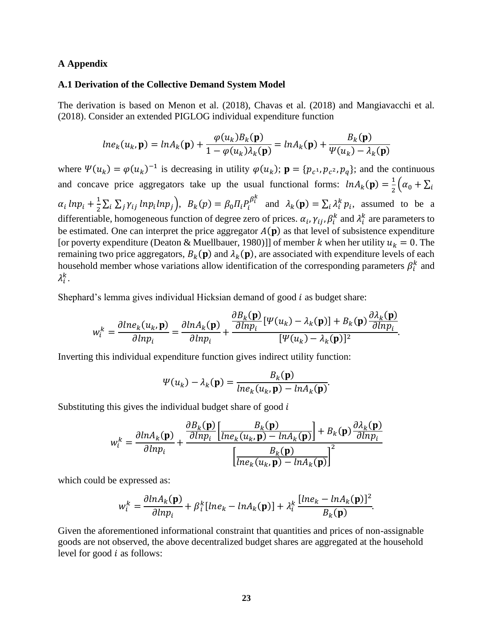#### **A Appendix**

#### **A.1 Derivation of the Collective Demand System Model**

The derivation is based on Menon et al. (2018), Chavas et al. (2018) and Mangiavacchi et al. (2018). Consider an extended PIGLOG individual expenditure function

$$
ln e_k(u_k, \mathbf{p}) = ln A_k(\mathbf{p}) + \frac{\varphi(u_k) B_k(\mathbf{p})}{1 - \varphi(u_k) \lambda_k(\mathbf{p})} = ln A_k(\mathbf{p}) + \frac{B_k(\mathbf{p})}{\psi(u_k) - \lambda_k(\mathbf{p})}
$$

where  $\Psi(u_k) = \varphi(u_k)^{-1}$  is decreasing in utility  $\varphi(u_k)$ ;  $\mathbf{p} = \{p_{c^1}, p_{c^2}, p_q\}$ ; and the continuous and concave price aggregators take up the usual functional forms:  $ln A_k(\mathbf{p}) = \frac{1}{2}$  $\frac{1}{2}(\alpha_0 + \sum_i$  $\alpha_i$  lnp<sub>i</sub> +  $\frac{1}{2}$  $\frac{1}{2}\sum_i \sum_j \gamma_{ij} ln p_i ln p_j$ ,  $B_k(p) = \beta_0 \prod_i P_i^{\beta_i^k}$  and  $\lambda_k(p) = \sum_i \lambda_i^k p_i$ , assumed to be a differentiable, homogeneous function of degree zero of prices.  $\alpha_i$ ,  $\gamma_{ij}$ ,  $\beta_i^k$  and  $\lambda_i^k$  are parameters to be estimated. One can interpret the price aggregator  $A(p)$  as that level of subsistence expenditure [or poverty expenditure (Deaton & Muellbauer, 1980)]] of member k when her utility  $u_k = 0$ . The remaining two price aggregators,  $B_k(p)$  and  $\lambda_k(p)$ , are associated with expenditure levels of each household member whose variations allow identification of the corresponding parameters  $\beta_i^k$  and  $\lambda_i^k$ .

Shephard's lemma gives individual Hicksian demand of good  $i$  as budget share:

$$
w_i^k = \frac{\partial \ln e_k(u_k, \mathbf{p})}{\partial \ln p_i} = \frac{\partial \ln A_k(\mathbf{p})}{\partial \ln p_i} + \frac{\frac{\partial B_k(\mathbf{p})}{\partial \ln p_i} [\Psi(u_k) - \lambda_k(\mathbf{p})] + B_k(\mathbf{p}) \frac{\partial \lambda_k(\mathbf{p})}{\partial \ln p_i}}{[\Psi(u_k) - \lambda_k(\mathbf{p})]^2}.
$$

Inverting this individual expenditure function gives indirect utility function:

$$
\Psi(u_k) - \lambda_k(\mathbf{p}) = \frac{B_k(\mathbf{p})}{\ln e_k(u_k, \mathbf{p}) - \ln A_k(\mathbf{p})}.
$$

Substituting this gives the individual budget share of good  $i$ 

$$
w_i^k = \frac{\partial ln A_k(\mathbf{p})}{\partial ln p_i} + \frac{\frac{\partial B_k(\mathbf{p})}{\partial ln p_i} \left[ \frac{B_k(\mathbf{p})}{ln e_k(u_k, \mathbf{p}) - ln A_k(\mathbf{p})} \right] + B_k(\mathbf{p}) \frac{\partial \lambda_k(\mathbf{p})}{\partial ln p_i}}{\left[ \frac{B_k(\mathbf{p})}{ln e_k(u_k, \mathbf{p}) - ln A_k(\mathbf{p})} \right]^2}
$$

which could be expressed as:

$$
w_i^k = \frac{\partial \ln A_k(\mathbf{p})}{\partial \ln p_i} + \beta_i^k [\ln e_k - \ln A_k(\mathbf{p})] + \lambda_i^k \frac{[\ln e_k - \ln A_k(\mathbf{p})]^2}{B_k(\mathbf{p})}.
$$

Given the aforementioned informational constraint that quantities and prices of non-assignable goods are not observed, the above decentralized budget shares are aggregated at the household level for good  $i$  as follows: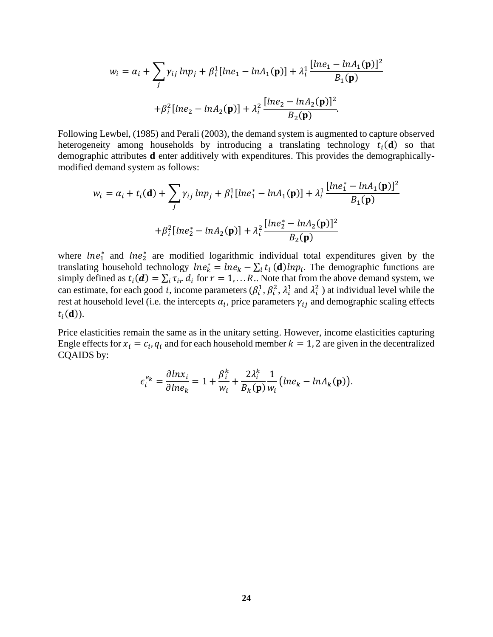$$
w_i = \alpha_i + \sum_j \gamma_{ij} \ln p_j + \beta_i^1 [\ln e_1 - \ln A_1(\mathbf{p})] + \lambda_i^1 \frac{[\ln e_1 - \ln A_1(\mathbf{p})]^2}{B_1(\mathbf{p})} + \beta_i^2 [\ln e_2 - \ln A_2(\mathbf{p})] + \lambda_i^2 \frac{[\ln e_2 - \ln A_2(\mathbf{p})]^2}{B_2(\mathbf{p})}.
$$

Following Lewbel, (1985) and Perali (2003), the demand system is augmented to capture observed heterogeneity among households by introducing a translating technology  $t_i(\mathbf{d})$  so that demographic attributes **d** enter additively with expenditures. This provides the demographicallymodified demand system as follows:

$$
w_i = \alpha_i + t_i(\mathbf{d}) + \sum_j \gamma_{ij} \ln p_j + \beta_i^1 [\ln e_1^* - \ln A_1(\mathbf{p})] + \lambda_i^1 \frac{[\ln e_1^* - \ln A_1(\mathbf{p})]^2}{B_1(\mathbf{p})} + \beta_i^2 [\ln e_2^* - \ln A_2(\mathbf{p})] + \lambda_i^2 \frac{[\ln e_2^* - \ln A_2(\mathbf{p})]^2}{B_2(\mathbf{p})}
$$

where  $\ln e_1^*$  and  $\ln e_2^*$  are modified logarithmic individual total expenditures given by the translating household technology  $\text{ln}e_k^* = \text{ln}e_k - \sum_i t_i(\mathbf{d}) \text{ln}p_i$ . The demographic functions are simply defined as  $t_i(\boldsymbol{d}) = \sum_i \tau_{ir} d_i$  for  $r = 1,...R$ . Note that from the above demand system, we can estimate, for each good *i*, income parameters  $(\beta_i^1, \beta_i^2, \lambda_i^1$  and  $\lambda_i^2$  ) at individual level while the rest at household level (i.e. the intercepts  $\alpha_i$ , price parameters  $\gamma_{ij}$  and demographic scaling effects  $t_i(\mathbf{d}))$ .

Price elasticities remain the same as in the unitary setting. However, income elasticities capturing Engle effects for  $x_i = c_i$ ,  $q_i$  and for each household member  $k = 1$ , 2 are given in the decentralized CQAIDS by:

$$
\epsilon_i^{e_k} = \frac{\partial \ln x_i}{\partial \ln e_k} = 1 + \frac{\beta_i^k}{w_i} + \frac{2\lambda_i^k}{B_k(\mathbf{p})} \frac{1}{w_i} \left( \ln e_k - \ln A_k(\mathbf{p}) \right).
$$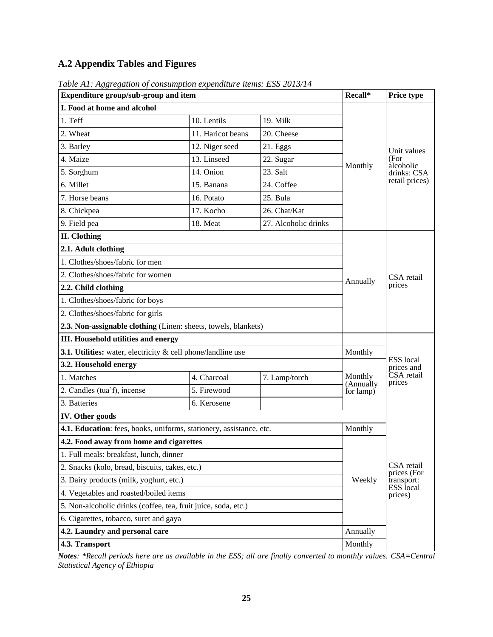# **A.2 Appendix Tables and Figures**

| rable Ar, Aggregation of consumption expenditure tiems. E55 2013/1 <del>4</del><br>Expenditure group/sub-group and item | Recall*           | Price type           |                      |                                |
|-------------------------------------------------------------------------------------------------------------------------|-------------------|----------------------|----------------------|--------------------------------|
| I. Food at home and alcohol                                                                                             |                   |                      |                      |                                |
| 1. Teff                                                                                                                 | 10. Lentils       | 19. Milk             |                      |                                |
| 2. Wheat                                                                                                                | 11. Haricot beans | 20. Cheese           |                      |                                |
| 3. Barley                                                                                                               | 12. Niger seed    | 21. Eggs             |                      | Unit values                    |
| 4. Maize                                                                                                                | 13. Linseed       | 22. Sugar            |                      | (For<br>alcoholic              |
| 5. Sorghum                                                                                                              | 14. Onion         | 23. Salt             | Monthly              | drinks: CSA                    |
| 6. Millet                                                                                                               | 15. Banana        | 24. Coffee           |                      | retail prices)                 |
| 7. Horse beans                                                                                                          | 16. Potato        | 25. Bula             |                      |                                |
| 8. Chickpea                                                                                                             | 17. Kocho         | 26. Chat/Kat         |                      |                                |
| 9. Field pea                                                                                                            | 18. Meat          | 27. Alcoholic drinks |                      |                                |
| <b>II.</b> Clothing                                                                                                     |                   |                      |                      |                                |
| 2.1. Adult clothing                                                                                                     |                   |                      |                      |                                |
| 1. Clothes/shoes/fabric for men                                                                                         |                   |                      |                      | CSA retail<br>prices           |
| 2. Clothes/shoes/fabric for women                                                                                       |                   |                      | Annually             |                                |
| 2.2. Child clothing                                                                                                     |                   |                      |                      |                                |
| 1. Clothes/shoes/fabric for boys                                                                                        |                   |                      |                      |                                |
| 2. Clothes/shoes/fabric for girls                                                                                       |                   |                      |                      |                                |
| 2.3. Non-assignable clothing (Linen: sheets, towels, blankets)                                                          |                   |                      |                      |                                |
| <b>III. Household utilities and energy</b>                                                                              |                   |                      |                      |                                |
| 3.1. Utilities: water, electricity $\&$ cell phone/landline use                                                         |                   |                      | Monthly              |                                |
| 3.2. Household energy                                                                                                   |                   |                      |                      | ESS local<br>prices and        |
| 1. Matches                                                                                                              | 4. Charcoal       | 7. Lamp/torch        | Monthly<br>(Annually | CSA retail<br>prices           |
| 2. Candles (tua'f), incense                                                                                             | 5. Firewood       |                      | for lamp)            |                                |
| 3. Batteries                                                                                                            | 6. Kerosene       |                      |                      |                                |
| <b>IV.</b> Other goods                                                                                                  |                   |                      |                      |                                |
| 4.1. Education: fees, books, uniforms, stationery, assistance, etc.                                                     |                   |                      | Monthly              |                                |
| 4.2. Food away from home and cigarettes                                                                                 |                   |                      |                      |                                |
| 1. Full meals: breakfast, lunch, dinner                                                                                 |                   |                      |                      |                                |
| 2. Snacks (kolo, bread, biscuits, cakes, etc.)                                                                          |                   |                      |                      | CSA retail<br>prices (For      |
| 3. Dairy products (milk, yoghurt, etc.)                                                                                 |                   |                      | Weekly               | transport:<br><b>ESS</b> local |
| 4. Vegetables and roasted/boiled items                                                                                  |                   |                      |                      | prices)                        |
| 5. Non-alcoholic drinks (coffee, tea, fruit juice, soda, etc.)                                                          |                   |                      |                      |                                |
| 6. Cigarettes, tobacco, suret and gaya                                                                                  |                   |                      |                      |                                |
| 4.2. Laundry and personal care                                                                                          |                   |                      | Annually             |                                |
| 4.3. Transport                                                                                                          | Monthly           |                      |                      |                                |

<span id="page-25-0"></span>*Table A1: Aggregation of consumption expenditure items: ESS 2013/14*

*Notes: \*Recall periods here are as available in the ESS; all are finally converted to monthly values. CSA=Central Statistical Agency of Ethiopia*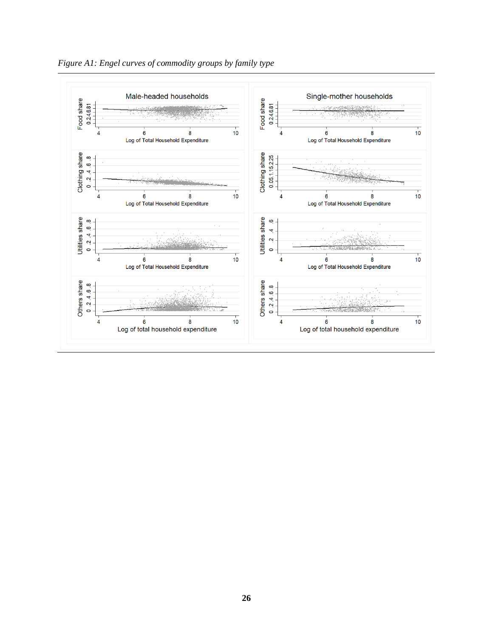

<span id="page-26-0"></span>*Figure A1: Engel curves of commodity groups by family type*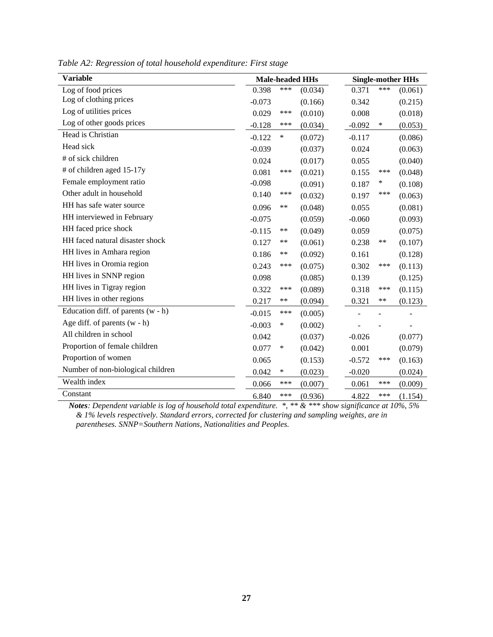| <b>Variable</b>                      |          |        | <b>Male-headed HHs</b> |          | <b>Single-mother HHs</b> |         |  |  |
|--------------------------------------|----------|--------|------------------------|----------|--------------------------|---------|--|--|
| Log of food prices                   | 0.398    | ***    | (0.034)                | 0.371    | ***                      | (0.061) |  |  |
| Log of clothing prices               | $-0.073$ |        | (0.166)                | 0.342    |                          | (0.215) |  |  |
| Log of utilities prices              | 0.029    | ***    | (0.010)                | 0.008    |                          | (0.018) |  |  |
| Log of other goods prices            | $-0.128$ | ***    | (0.034)                | $-0.092$ | ∗                        | (0.053) |  |  |
| Head is Christian                    | $-0.122$ | $\ast$ | (0.072)                | $-0.117$ |                          | (0.086) |  |  |
| Head sick                            | $-0.039$ |        | (0.037)                | 0.024    |                          | (0.063) |  |  |
| # of sick children                   | 0.024    |        | (0.017)                | 0.055    |                          | (0.040) |  |  |
| # of children aged 15-17y            | 0.081    | ***    | (0.021)                | 0.155    | ***                      | (0.048) |  |  |
| Female employment ratio              | $-0.098$ |        | (0.091)                | 0.187    | ∗                        | (0.108) |  |  |
| Other adult in household             | 0.140    | ***    | (0.032)                | 0.197    | ***                      | (0.063) |  |  |
| HH has safe water source             | 0.096    | $***$  | (0.048)                | 0.055    |                          | (0.081) |  |  |
| HH interviewed in February           | $-0.075$ |        | (0.059)                | $-0.060$ |                          | (0.093) |  |  |
| HH faced price shock                 | $-0.115$ | $***$  | (0.049)                | 0.059    |                          | (0.075) |  |  |
| HH faced natural disaster shock      | 0.127    | $***$  | (0.061)                | 0.238    | **                       | (0.107) |  |  |
| HH lives in Amhara region            | 0.186    | **     | (0.092)                | 0.161    |                          | (0.128) |  |  |
| HH lives in Oromia region            | 0.243    | ***    | (0.075)                | 0.302    | ***                      | (0.113) |  |  |
| HH lives in SNNP region              | 0.098    |        | (0.085)                | 0.139    |                          | (0.125) |  |  |
| HH lives in Tigray region            | 0.322    | ***    | (0.089)                | 0.318    | ***                      | (0.115) |  |  |
| HH lives in other regions            | 0.217    | $***$  | (0.094)                | 0.321    | **                       | (0.123) |  |  |
| Education diff. of parents $(w - h)$ | $-0.015$ | ***    | (0.005)                |          |                          |         |  |  |
| Age diff. of parents $(w - h)$       | $-0.003$ | *      | (0.002)                |          |                          |         |  |  |
| All children in school               | 0.042    |        | (0.037)                | $-0.026$ |                          | (0.077) |  |  |
| Proportion of female children        | 0.077    | $\ast$ | (0.042)                | 0.001    |                          | (0.079) |  |  |
| Proportion of women                  | 0.065    |        | (0.153)                | $-0.572$ | ***                      | (0.163) |  |  |
| Number of non-biological children    | 0.042    | $\ast$ | (0.023)                | $-0.020$ |                          | (0.024) |  |  |
| Wealth index                         | 0.066    | ***    | (0.007)                | 0.061    | ***                      | (0.009) |  |  |
| Constant                             | 6.840    | ***    | (0.936)                | 4.822    | ***                      | (1.154) |  |  |

<span id="page-27-0"></span>*Table A2: Regression of total household expenditure: First stage*

*Notes: Dependent variable is log of household total expenditure. \*, \*\* & \*\*\* show significance at 10%, 5% & 1% levels respectively. Standard errors, corrected for clustering and sampling weights, are in parentheses. SNNP=Southern Nations, Nationalities and Peoples.*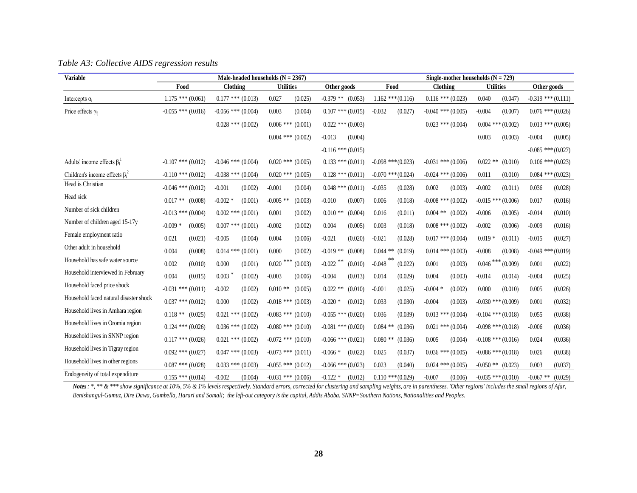<span id="page-28-0"></span>

| <b>Variable</b>                        | Male-headed households $(N = 2367)$ |                        |                               |                           |                        | Single-mother households $(N = 729)$ |                        |                        |  |  |
|----------------------------------------|-------------------------------------|------------------------|-------------------------------|---------------------------|------------------------|--------------------------------------|------------------------|------------------------|--|--|
|                                        | Food                                | Clothing               | <b>Utilities</b>              | Other goods               | Food                   | Clothing                             | <b>Utilities</b>       | Other goods            |  |  |
| Intercepts $\alpha_i$                  | $1.175$ *** $(0.061)$               | $0.177$ *** $(0.013)$  | 0.027<br>(0.025)              | $-0.379$ ** $(0.053)$     | $1.162$ *** $(0.116)$  | $0.116$ *** $(0.023)$                | 0.040<br>(0.047)       | $-0.319$ *** $(0.111)$ |  |  |
| Price effects $\gamma_{ii}$            | $-0.055$ *** (0.016)                | $-0.056$ *** $(0.004)$ | 0.003<br>(0.004)              | $0.107$ *** $(0.015)$     | $-0.032$<br>(0.027)    | $-0.040$ *** $(0.005)$               | $-0.004$<br>(0.007)    | $0.076$ *** $(0.026)$  |  |  |
|                                        |                                     | $0.028$ *** $(0.002)$  | $0.006$ *** $(0.001)$         | $0.022$ *** $(0.003)$     |                        | $0.023$ *** $(0.004)$                | $0.004$ *** $(0.002)$  | $0.013$ *** $(0.005)$  |  |  |
|                                        |                                     |                        | $0.004$ *** $(0.002)$         | $-0.013$<br>(0.004)       |                        |                                      | 0.003<br>(0.003)       | $-0.004$<br>(0.005)    |  |  |
|                                        |                                     |                        |                               | $-0.116$ *** (0.015)      |                        |                                      |                        | $-0.085$ *** $(0.027)$ |  |  |
| Adults' income effects $\beta_i^1$     | $-0.107$ *** (0.012)                | $-0.046$ *** $(0.004)$ | $0.020$ *** $(0.005)$         | $0.133$ *** $(0.011)$     | $-0.098$ *** $(0.023)$ | $-0.031$ *** $(0.006)$               | $0.022$ **<br>(0.010)  | $0.106$ *** $(0.023)$  |  |  |
| Children's income effects $\beta_i^2$  | $-0.110$ *** (0.012)                | $-0.038$ *** $(0.004)$ | $0.020$ *** $(0.005)$         | $0.128$ *** $(0.011)$     | $-0.070$ *** $(0.024)$ | $-0.024$ *** $(0.006)$               | 0.011<br>(0.010)       | $0.084$ *** $(0.023)$  |  |  |
| Head is Christian                      | $-0.046$ *** $(0.012)$              | $-0.001$<br>(0.002)    | $-0.001$<br>(0.004)           | $0.048$ *** $(0.011)$     | $-0.035$<br>(0.028)    | 0.002<br>(0.003)                     | $-0.002$<br>(0.011)    | 0.036<br>(0.028)       |  |  |
| Head sick                              | $0.017**$<br>(0.008)                | $-0.002$ *<br>(0.001)  | $-0.005$ **<br>(0.003)        | $-0.010$<br>(0.007)       | 0.006<br>(0.018)       | $-0.008$ *** $(0.002)$               | $-0.015$ *** (0.006)   | 0.017<br>(0.016)       |  |  |
| Number of sick children                | $-0.013$ *** (0.004)                | $0.002$ *** $(0.001)$  | 0.001<br>(0.002)              | (0.004)<br>$0.010**$      | 0.016<br>(0.011)       | $0.004$ **<br>(0.002)                | $-0.006$<br>(0.005)    | $-0.014$<br>(0.010)    |  |  |
| Number of children aged 15-17y         | $-0.009*$<br>(0.005)                | $0.007$ *** $(0.001)$  | $-0.002$<br>(0.002)           | 0.004<br>(0.005)          | 0.003<br>(0.018)       | $0.008$ *** $(0.002)$                | $-0.002$<br>(0.006)    | $-0.009$<br>(0.016)    |  |  |
| Female employment ratio                | 0.021<br>(0.021)                    | $-0.005$<br>(0.004)    | 0.004<br>(0.006)              | $-0.021$<br>(0.020)       | $-0.021$<br>(0.028)    | $0.017$ *** $(0.004)$                | $0.019*$<br>(0.011)    | $-0.015$<br>(0.027)    |  |  |
| Other adult in household               | 0.004<br>(0.008)                    | $0.014$ *** $(0.001)$  | 0.000<br>(0.002)              | $-0.019$ **<br>(0.008)    | $0.044$ **<br>(0.019)  | $0.014$ *** $(0.003)$                | $-0.008$<br>(0.008)    | $-0.049$ *** $(0.019)$ |  |  |
| Household has safe water source        | 0.002<br>(0.010)                    | 0.000<br>(0.001)       | $0.020$ $^{***}\,$<br>(0.003) | **<br>$-0.022$<br>(0.010) | $-0.048$<br>(0.022)    | 0.001<br>(0.003)                     | $0.046$ ***<br>(0.009) | 0.001<br>(0.022)       |  |  |
| Household interviewed in February      | 0.004<br>(0.015)                    | 0.003<br>(0.002)       | $-0.003$<br>(0.006)           | $-0.004$<br>(0.013)       | 0.014<br>(0.029)       | 0.004<br>(0.003)                     | $-0.014$<br>(0.014)    | $-0.004$<br>(0.025)    |  |  |
| Household faced price shock            | $-0.031$ *** $(0.011)$              | $-0.002$<br>(0.002)    | $0.010**$<br>(0.005)          | $0.022**$<br>(0.010)      | $-0.001$<br>(0.025)    | $-0.004*$<br>(0.002)                 | 0.000<br>(0.010)       | 0.005<br>(0.026)       |  |  |
| Household faced natural disaster shock | $0.037$ *** $(0.012)$               | 0.000<br>(0.002)       | $-0.018$ *** $(0.003)$        | $-0.020*$<br>(0.012)      | 0.033<br>(0.030)       | $-0.004$<br>(0.003)                  | $-0.030$ *** $(0.009)$ | 0.001<br>(0.032)       |  |  |
| Household lives in Amhara region       | $0.118**$<br>(0.025)                | $0.021$ *** $(0.002)$  | $-0.083$ *** $(0.010)$        | $-0.055$ *** (0.020)      | 0.036<br>(0.039)       | $0.013$ *** $(0.004)$                | $-0.104$ *** $(0.018)$ | 0.055<br>(0.038)       |  |  |
| Household lives in Oromia region       | $0.124$ *** $(0.026)$               | $0.036$ *** $(0.002)$  | $-0.080$ *** $(0.010)$        | $-0.081$ *** $(0.020)$    | $0.084$ **<br>(0.036)  | $0.021$ *** $(0.004)$                | $-0.098$ *** $(0.018)$ | $-0.006$<br>(0.036)    |  |  |
| Household lives in SNNP region         | $0.117$ *** $(0.026)$               | $0.021$ *** $(0.002)$  | $-0.072$ *** $(0.010)$        | $-0.066$ *** $(0.021)$    | $0.080**$<br>(0.036)   | 0.005<br>(0.004)                     | $-0.108$ *** (0.016)   | 0.024<br>(0.036)       |  |  |
| Household lives in Tigray region       | $0.092$ *** $(0.027)$               | $0.047$ *** $(0.003)$  | $-0.073$ *** $(0.011)$        | $-0.066*$<br>(0.022)      | 0.025<br>(0.037)       | $0.036$ *** $(0.005)$                | $-0.086$ *** $(0.018)$ | 0.026<br>(0.038)       |  |  |
| Household lives in other regions       | $0.087$ *** $(0.028)$               | $0.033$ *** $(0.003)$  | $-0.055$ *** $(0.012)$        | $-0.066$ *** $(0.023)$    | 0.023<br>(0.040)       | $0.024$ *** $(0.005)$                | $-0.050**$<br>(0.023)  | 0.003<br>(0.037)       |  |  |
| Endogeneity of total expenditure       | $0.155$ *** $(0.014)$               | $-0.002$<br>(0.004)    | $-0.031$ *** $(0.006)$        | $-0.122*$<br>(0.012)      | $0.110$ *** $(0.029)$  | $-0.007$<br>(0.006)                  | $-0.035$ *** (0.010)   | $-0.067$ **<br>(0.029) |  |  |

Notes: \*, \*\* & \*\*\* show significance at 10%, 5% & 1% levels respectively. Standard errors, corrected for clustering and sampling weights, are in parentheses. 'Other regions' includes the small regions of Afar, *Benishangul-Gumuz, Dire Dawa, Gambella, Harari and Somali; the left-out category is the capital, Addis Ababa. SNNP=Southern Nations, Nationalities and Peoples.*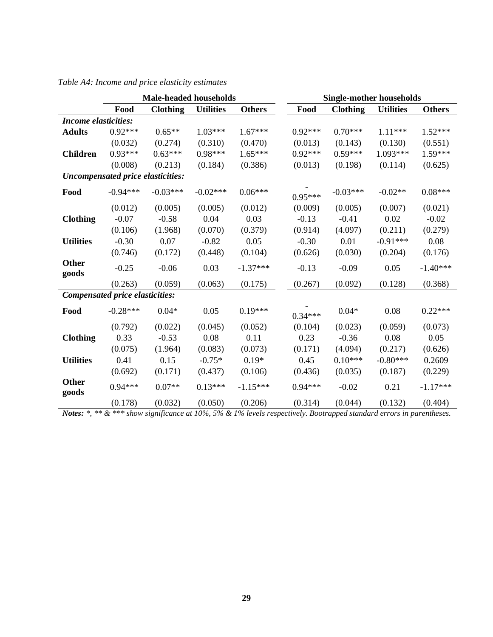|                                        | <b>Male-headed households</b>            |                 |                  |               |  | <b>Single-mother households</b> |                 |                  |               |  |
|----------------------------------------|------------------------------------------|-----------------|------------------|---------------|--|---------------------------------|-----------------|------------------|---------------|--|
|                                        | Food                                     | <b>Clothing</b> | <b>Utilities</b> | <b>Others</b> |  | Food                            | <b>Clothing</b> | <b>Utilities</b> | <b>Others</b> |  |
| <b>Income elasticities:</b>            |                                          |                 |                  |               |  |                                 |                 |                  |               |  |
| <b>Adults</b>                          | $0.92***$                                | $0.65**$        | $1.03***$        | $1.67***$     |  | $0.92***$                       | $0.70***$       | $1.11***$        | $1.52***$     |  |
|                                        | (0.032)                                  | (0.274)         | (0.310)          | (0.470)       |  | (0.013)                         | (0.143)         | (0.130)          | (0.551)       |  |
| <b>Children</b>                        | $0.93***$                                | $0.63***$       | $0.98***$        | $1.65***$     |  | $0.92***$                       | $0.59***$       | 1.093***         | $1.59***$     |  |
|                                        | (0.008)                                  | (0.213)         | (0.184)          | (0.386)       |  | (0.013)                         | (0.198)         | (0.114)          | (0.625)       |  |
|                                        | <b>Uncompensated price elasticities:</b> |                 |                  |               |  |                                 |                 |                  |               |  |
| Food                                   | $-0.94***$                               | $-0.03***$      | $-0.02***$       | $0.06***$     |  | $0.95***$                       | $-0.03***$      | $-0.02**$        | $0.08***$     |  |
|                                        | (0.012)                                  | (0.005)         | (0.005)          | (0.012)       |  | (0.009)                         | (0.005)         | (0.007)          | (0.021)       |  |
| <b>Clothing</b>                        | $-0.07$                                  | $-0.58$         | 0.04             | 0.03          |  | $-0.13$                         | $-0.41$         | 0.02             | $-0.02$       |  |
|                                        | (0.106)                                  | (1.968)         | (0.070)          | (0.379)       |  | (0.914)                         | (4.097)         | (0.211)          | (0.279)       |  |
| <b>Utilities</b>                       | $-0.30$                                  | 0.07            | $-0.82$          | 0.05          |  | $-0.30$                         | 0.01            | $-0.91***$       | 0.08          |  |
|                                        | (0.746)                                  | (0.172)         | (0.448)          | (0.104)       |  | (0.626)                         | (0.030)         | (0.204)          | (0.176)       |  |
| <b>Other</b><br>goods                  | $-0.25$                                  | $-0.06$         | 0.03             | $-1.37***$    |  | $-0.13$                         | $-0.09$         | 0.05             | $-1.40***$    |  |
|                                        | (0.263)                                  | (0.059)         | (0.063)          | (0.175)       |  | (0.267)                         | (0.092)         | (0.128)          | (0.368)       |  |
| <b>Compensated price elasticities:</b> |                                          |                 |                  |               |  |                                 |                 |                  |               |  |
| Food                                   | $-0.28***$                               | $0.04*$         | 0.05             | $0.19***$     |  | $0.34***$                       | $0.04*$         | 0.08             | $0.22***$     |  |
|                                        | (0.792)                                  | (0.022)         | (0.045)          | (0.052)       |  | (0.104)                         | (0.023)         | (0.059)          | (0.073)       |  |
| <b>Clothing</b>                        | 0.33                                     | $-0.53$         | 0.08             | 0.11          |  | 0.23                            | $-0.36$         | 0.08             | 0.05          |  |
|                                        | (0.075)                                  | (1.964)         | (0.083)          | (0.073)       |  | (0.171)                         | (4.094)         | (0.217)          | (0.626)       |  |
| <b>Utilities</b>                       | 0.41                                     | 0.15            | $-0.75*$         | $0.19*$       |  | 0.45                            | $0.10***$       | $-0.80***$       | 0.2609        |  |
|                                        | (0.692)                                  | (0.171)         | (0.437)          | (0.106)       |  | (0.436)                         | (0.035)         | (0.187)          | (0.229)       |  |
| <b>Other</b><br>goods                  | $0.94***$                                | $0.07**$        | $0.13***$        | $-1.15***$    |  | $0.94***$                       | $-0.02$         | 0.21             | $-1.17***$    |  |
|                                        | (0.178)                                  | (0.032)         | (0.050)          | (0.206)       |  | (0.314)                         | (0.044)         | (0.132)          | (0.404)       |  |

<span id="page-29-0"></span>*Table A4: Income and price elasticity estimates*

*Notes: \*, \*\* & \*\*\* show significance at 10%, 5% & 1% levels respectively. Bootrapped standard errors in parentheses.*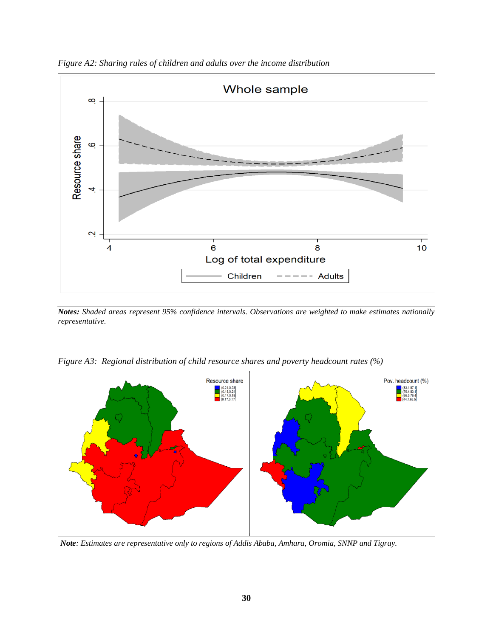<span id="page-30-0"></span>



*Notes: Shaded areas represent 95% confidence intervals. Observations are weighted to make estimates nationally representative.*



<span id="page-30-1"></span>*Figure A3: Regional distribution of child resource shares and poverty headcount rates (%)*

*Note: Estimates are representative only to regions of Addis Ababa, Amhara, Oromia, SNNP and Tigray.*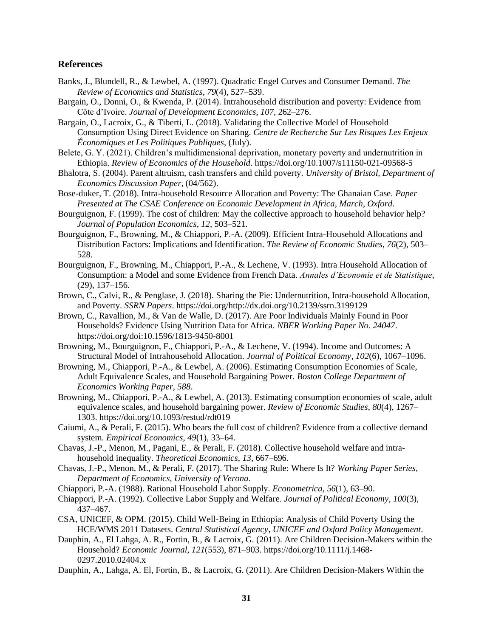### **References**

- Banks, J., Blundell, R., & Lewbel, A. (1997). Quadratic Engel Curves and Consumer Demand. *The Review of Economics and Statistics*, *79*(4), 527–539.
- Bargain, O., Donni, O., & Kwenda, P. (2014). Intrahousehold distribution and poverty: Evidence from Côte d'Ivoire. *Journal of Development Economics*, *107*, 262–276.
- Bargain, O., Lacroix, G., & Tiberti, L. (2018). Validating the Collective Model of Household Consumption Using Direct Evidence on Sharing. *Centre de Recherche Sur Les Risques Les Enjeux Économiques et Les Politiques Publiques*, (July).
- Belete, G. Y. (2021). Children's multidimensional deprivation, monetary poverty and undernutrition in Ethiopia. *Review of Economics of the Household*. https://doi.org/10.1007/s11150-021-09568-5
- Bhalotra, S. (2004). Parent altruism, cash transfers and child poverty. *University of Bristol, Department of Economics Discussion Paper*, (04/562).
- Bose-duker, T. (2018). Intra-household Resource Allocation and Poverty: The Ghanaian Case. *Paper Presented at The CSAE Conference on Economic Development in Africa, March, Oxford*.
- Bourguignon, F. (1999). The cost of children: May the collective approach to household behavior help? *Journal of Population Economics*, *12*, 503–521.
- Bourguignon, F., Browning, M., & Chiappori, P.-A. (2009). Efficient Intra-Household Allocations and Distribution Factors: Implications and Identification. *The Review of Economic Studies*, *76*(2), 503– 528.
- Bourguignon, F., Browning, M., Chiappori, P.-A., & Lechene, V. (1993). Intra Household Allocation of Consumption: a Model and some Evidence from French Data. *Annales d'Economie et de Statistique*, (29), 137–156.
- Brown, C., Calvi, R., & Penglase, J. (2018). Sharing the Pie: Undernutrition, Intra-household Allocation, and Poverty. *SSRN Papers*. https://doi.org/http://dx.doi.org/10.2139/ssrn.3199129
- Brown, C., Ravallion, M., & Van de Walle, D. (2017). Are Poor Individuals Mainly Found in Poor Households? Evidence Using Nutrition Data for Africa. *NBER Working Paper No. 24047*. https://doi.org/doi:10.1596/1813-9450-8001
- Browning, M., Bourguignon, F., Chiappori, P.-A., & Lechene, V. (1994). Income and Outcomes: A Structural Model of Intrahousehold Allocation. *Journal of Political Economy*, *102*(6), 1067–1096.
- Browning, M., Chiappori, P.-A., & Lewbel, A. (2006). Estimating Consumption Economies of Scale, Adult Equivalence Scales, and Household Bargaining Power. *Boston College Department of Economics Working Paper*, *588*.
- Browning, M., Chiappori, P.-A., & Lewbel, A. (2013). Estimating consumption economies of scale, adult equivalence scales, and household bargaining power. *Review of Economic Studies*, *80*(4), 1267– 1303. https://doi.org/10.1093/restud/rdt019
- Caiumi, A., & Perali, F. (2015). Who bears the full cost of children? Evidence from a collective demand system. *Empirical Economics*, *49*(1), 33–64.
- Chavas, J.-P., Menon, M., Pagani, E., & Perali, F. (2018). Collective household welfare and intrahousehold inequality. *Theoretical Economics*, *13*, 667–696.
- Chavas, J.-P., Menon, M., & Perali, F. (2017). The Sharing Rule: Where Is It? *Working Paper Series, Department of Economics, University of Verona*.
- Chiappori, P.-A. (1988). Rational Household Labor Supply. *Econometrica*, *56*(1), 63–90.
- Chiappori, P.-A. (1992). Collective Labor Supply and Welfare. *Journal of Political Economy*, *100*(3), 437–467.
- CSA, UNICEF, & OPM. (2015). Child Well-Being in Ethiopia: Analysis of Child Poverty Using the HCE/WMS 2011 Datasets. *Central Statistical Agency, UNICEF and Oxford Policy Management*.
- Dauphin, A., El Lahga, A. R., Fortin, B., & Lacroix, G. (2011). Are Children Decision-Makers within the Household? *Economic Journal*, *121*(553), 871–903. https://doi.org/10.1111/j.1468- 0297.2010.02404.x
- Dauphin, A., Lahga, A. El, Fortin, B., & Lacroix, G. (2011). Are Children Decision-Makers Within the